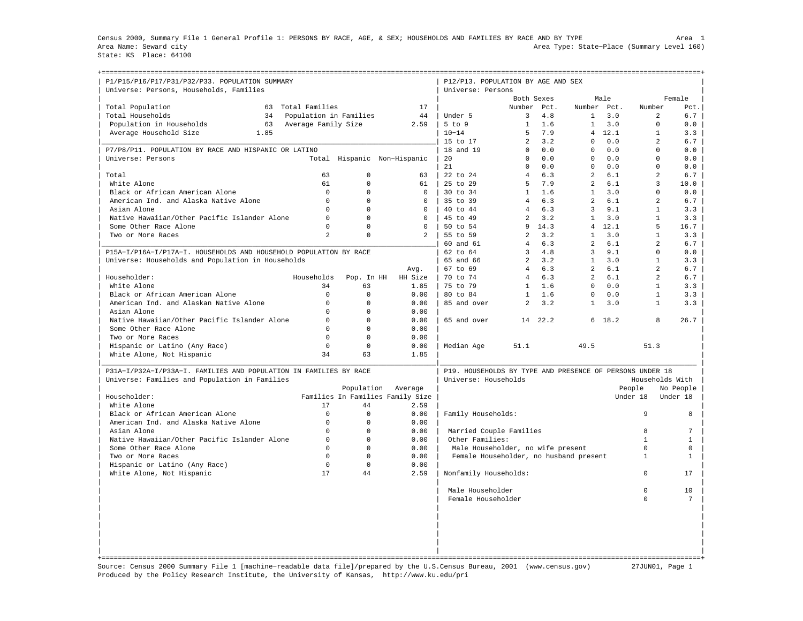Census 2000, Summary File 1 General Profile 1: PERSONS BY RACE, AGE, & SEX; HOUSEHOLDS AND FAMILIES BY RACE AND BY TYPE Area 1 Area Name: Seward city Area Type: State−Place (Summary Level 160) State: KS Place: 64100

| P1/P15/P16/P17/P31/P32/P33. POPULATION SUMMARY<br>Universe: Persons, Households, Families                          |                        |             |                                  | P12/P13. POPULATION BY AGE AND SEX<br>Universe: Persons                          |                |      |                |                       |                 |              |
|--------------------------------------------------------------------------------------------------------------------|------------------------|-------------|----------------------------------|----------------------------------------------------------------------------------|----------------|------|----------------|-----------------------|-----------------|--------------|
|                                                                                                                    |                        |             |                                  |                                                                                  | Both Sexes     |      |                | Male                  |                 | Female       |
| Total Population<br>63                                                                                             | Total Families         |             | 17                               |                                                                                  | Number Pct.    |      | Number Pct.    |                       | Number          | Pct.         |
| Total Households<br>34                                                                                             | Population in Families |             | 44                               | Under 5                                                                          | 3              | 4.8  | $\mathbf{1}$   | 3.0                   | 2               | 6.7          |
| Population in Households<br>63                                                                                     | Average Family Size    |             | 2.59                             | $5$ to $9$                                                                       | $\mathbf{1}$   | 1.6  | $\mathbf{1}$   | 3.0                   | $\Omega$        | 0.0          |
| Average Household Size<br>1.85                                                                                     |                        |             |                                  | $10 - 14$                                                                        | 5              | 7.9  | $\overline{4}$ | 12.1                  | $\mathbf{1}$    | 3.3          |
|                                                                                                                    |                        |             |                                  | 15 to 17                                                                         | $\overline{2}$ | 3.2  | $\Omega$       | 0.0                   | $\overline{2}$  | 6.7          |
| P7/P8/P11. POPULATION BY RACE AND HISPANIC OR LATINO                                                               |                        |             |                                  | 18 and 19                                                                        | $\mathbf 0$    | 0.0  | $\mathbf 0$    | ${\bf 0}$ . ${\bf 0}$ | $\mathbf 0$     | 0.0          |
| Universe: Persons                                                                                                  |                        |             | Total Hispanic Non-Hispanic      | 20                                                                               | $\Omega$       | 0.0  | $\Omega$       | 0.0                   | $\Omega$        | 0.0          |
|                                                                                                                    |                        |             |                                  | 21                                                                               | $\Omega$       | 0.0  | $\Omega$       | 0.0                   | $\Omega$        | 0.0          |
| Total                                                                                                              | 63                     | $\mathbf 0$ | 63                               | 22 to 24                                                                         | $\overline{4}$ | 6.3  | $\overline{a}$ | 6.1                   | 2               | 6.7          |
| White Alone                                                                                                        | 61                     | $\Omega$    | 61                               | 25 to 29                                                                         | 5              | 7.9  | $\overline{a}$ | 6.1                   | 3               | 10.0         |
| Black or African American Alone                                                                                    | $\Omega$               | $\Omega$    | $\Omega$                         | 30 to 34                                                                         | $\mathbf{1}$   | 1.6  | $\mathbf{1}$   | 3.0                   | $\Omega$        | 0.0          |
| American Ind. and Alaska Native Alone                                                                              | $\Omega$               | $\Omega$    | $\Omega$                         | 35 to 39                                                                         | $\overline{4}$ | 6.3  | $\mathfrak{D}$ | 6.1                   | $\overline{a}$  | 6.7          |
| Asian Alone                                                                                                        | $\mathbf 0$            | $\mathbf 0$ | $\mathbf 0$                      | 40 to 44                                                                         | $\overline{4}$ | 6.3  | $\overline{3}$ | 9.1                   | $\mathbf{1}$    | 3.3          |
| Native Hawaiian/Other Pacific Islander Alone                                                                       | $\Omega$               | $\Omega$    | $\Omega$                         | 45 to 49                                                                         | $\overline{2}$ | 3.2  | $\mathbf{1}$   | 3.0                   | $\mathbf{1}$    | 3.3          |
| Some Other Race Alone                                                                                              | $\Omega$               | $\Omega$    | $\Omega$                         | 50 to 54                                                                         | 9              | 14.3 | 4              | 12.1                  | 5               | 16.7         |
| Two or More Races                                                                                                  | 2                      | $\Omega$    | $\overline{a}$                   | 55 to 59                                                                         | 2              | 3.2  | $\mathbf{1}$   | 3.0                   | $\mathbf{1}$    | 3.3          |
|                                                                                                                    |                        |             |                                  | 60 and 61                                                                        | $\overline{4}$ | 6.3  | $\mathfrak{D}$ | 6.1                   | $\overline{2}$  | 6.7          |
| P15A-I/P16A-I/P17A-I. HOUSEHOLDS AND HOUSEHOLD POPULATION BY RACE                                                  |                        |             |                                  | 62 to 64                                                                         | $\overline{3}$ | 4.8  | $\overline{3}$ | 9.1                   | $\Omega$        | 0.0          |
| Universe: Households and Population in Households                                                                  |                        |             |                                  | 65 and 66                                                                        | $\overline{a}$ | 3.2  | $\mathbf{1}$   | 3.0                   | $\mathbf{1}$    | 3.3          |
|                                                                                                                    |                        |             | Avg.                             | 67 to 69                                                                         | $\overline{4}$ | 6.3  | $\overline{2}$ | 6.1                   | $\overline{a}$  | 6.7          |
| Householder:                                                                                                       | Households             | Pop. In HH  | HH Size                          | 70 to 74                                                                         | $\overline{4}$ | 6.3  | $\overline{2}$ | 6.1                   | $\overline{2}$  | 6.7          |
| White Alone                                                                                                        | 34                     | 63          | 1.85                             | 75 to 79                                                                         | $\mathbf{1}$   | 1.6  | $\Omega$       | 0.0                   | $\mathbf{1}$    | 3.3          |
| Black or African American Alone                                                                                    | $\mathbf 0$            | $\Omega$    | 0.00                             | 80 to 84                                                                         | $\mathbf{1}$   | 1.6  | $\mathbf{0}$   | 0.0                   | $\mathbf{1}$    | 3.3          |
| American Ind. and Alaskan Native Alone                                                                             | $\Omega$               | $\Omega$    | 0.00                             | 85 and over                                                                      | $\overline{a}$ | 3.2  | $\mathbf{1}$   | 3.0                   | $\mathbf{1}$    | 3.3          |
| Asian Alone                                                                                                        | $\Omega$               | $\Omega$    | 0.00                             |                                                                                  |                |      |                |                       |                 |              |
| Native Hawaiian/Other Pacific Islander Alone                                                                       | $\mathbf 0$            | $\Omega$    | 0.00                             | 65 and over                                                                      | 14             | 22.2 |                | 6 18.2                | 8               | 26.7         |
| Some Other Race Alone                                                                                              | $\Omega$               | $\Omega$    | 0.00                             |                                                                                  |                |      |                |                       |                 |              |
| Two or More Races                                                                                                  | $\Omega$               | $\Omega$    | 0.00                             |                                                                                  |                |      |                |                       |                 |              |
| Hispanic or Latino (Any Race)                                                                                      | $\Omega$               | $\Omega$    | 0.00                             | Median Age                                                                       | 51.1           |      | 49.5           |                       | 51.3            |              |
| White Alone, Not Hispanic                                                                                          | 34                     | 63          | 1.85                             |                                                                                  |                |      |                |                       |                 |              |
|                                                                                                                    |                        |             |                                  |                                                                                  |                |      |                |                       |                 |              |
| P31A-I/P32A-I/P33A-I. FAMILIES AND POPULATION IN FAMILIES BY RACE<br>Universe: Families and Population in Families |                        |             |                                  | P19. HOUSEHOLDS BY TYPE AND PRESENCE OF PERSONS UNDER 18<br>Universe: Households |                |      |                |                       | Households With |              |
|                                                                                                                    |                        | Population  | Average                          |                                                                                  |                |      |                |                       | People          | No People    |
| Householder:                                                                                                       |                        |             | Families In Families Family Size |                                                                                  |                |      |                |                       | Under 18        | Under 18     |
| White Alone                                                                                                        | 17                     | 44          | 2.59                             |                                                                                  |                |      |                |                       |                 |              |
| Black or African American Alone                                                                                    | $\mathbf 0$            | $\Omega$    | 0.00                             | Family Households:                                                               |                |      |                |                       | 9               | 8            |
| American Ind. and Alaska Native Alone                                                                              | $\Omega$               | $\Omega$    | 0.00                             |                                                                                  |                |      |                |                       |                 |              |
| Asian Alone                                                                                                        | $\Omega$               | $\Omega$    | 0.00                             | Married Couple Families                                                          |                |      |                |                       | 8               | 7            |
| Native Hawaiian/Other Pacific Islander Alone                                                                       | $\mathbf 0$            | $\Omega$    | 0.00                             | Other Families:                                                                  |                |      |                |                       | $\mathbf{1}$    | $\mathbf{1}$ |
| Some Other Race Alone                                                                                              | $\Omega$               | $\Omega$    | 0.00                             | Male Householder, no wife present                                                |                |      |                |                       | $\Omega$        | $\mathbf 0$  |
| Two or More Races                                                                                                  | $\Omega$               | $\Omega$    | 0.00                             | Female Householder, no husband present                                           |                |      |                |                       | $\mathbf{1}$    | $\mathbf{1}$ |
| Hispanic or Latino (Any Race)                                                                                      | $\Omega$               | $\Omega$    | 0.00                             |                                                                                  |                |      |                |                       |                 |              |
| White Alone, Not Hispanic                                                                                          | 17                     | 44          | 2.59                             | Nonfamily Households:                                                            |                |      |                |                       | $\Omega$        | 17           |
|                                                                                                                    |                        |             |                                  |                                                                                  |                |      |                |                       |                 |              |
|                                                                                                                    |                        |             |                                  | Male Householder                                                                 |                |      |                |                       | $\Omega$        | 10           |
|                                                                                                                    |                        |             |                                  | Female Householder                                                               |                |      |                |                       | $\circ$         | 7            |
|                                                                                                                    |                        |             |                                  |                                                                                  |                |      |                |                       |                 |              |
|                                                                                                                    |                        |             |                                  |                                                                                  |                |      |                |                       |                 |              |
|                                                                                                                    |                        |             |                                  |                                                                                  |                |      |                |                       |                 |              |
|                                                                                                                    |                        |             |                                  |                                                                                  |                |      |                |                       |                 |              |
|                                                                                                                    |                        |             |                                  |                                                                                  |                |      |                |                       |                 |              |
|                                                                                                                    |                        |             |                                  |                                                                                  |                |      |                |                       |                 |              |
|                                                                                                                    |                        |             |                                  |                                                                                  |                |      |                |                       |                 |              |

Source: Census 2000 Summary File 1 [machine−readable data file]/prepared by the U.S.Census Bureau, 2001 (www.census.gov) 27JUN01, Page 1 Produced by the Policy Research Institute, the University of Kansas, http://www.ku.edu/pri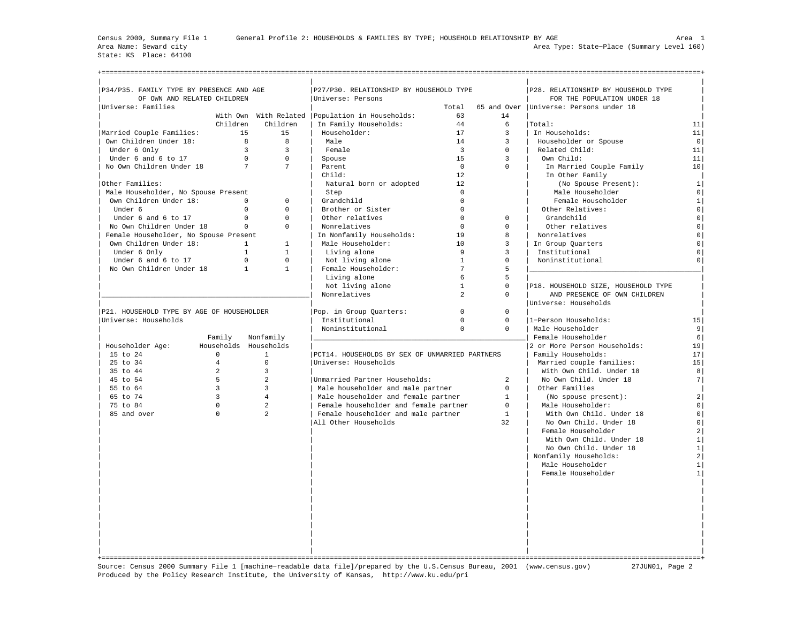State: KS Place: 64100

| P27/P30. RELATIONSHIP BY HOUSEHOLD TYPE<br>P34/P35. FAMILY TYPE BY PRESENCE AND AGE<br>P28. RELATIONSHIP BY HOUSEHOLD TYPE<br>OF OWN AND RELATED CHILDREN<br>Universe: Persons<br>FOR THE POPULATION UNDER 18<br>65 and Over   Universe: Persons under 18<br>Total<br>With Own With Related   Population in Households:<br>63<br>14<br>Children<br>Children<br>In Family Households:<br>44<br>6<br>Total:<br>11<br>Householder:<br>17<br>15<br>15<br>$\overline{3}$<br>In Households:<br>11<br>Own Children Under 18:<br>8<br>8<br>Male<br>14<br>3<br>Householder or Spouse<br>$\circ$<br>$\overline{3}$<br>3<br>$\overline{3}$<br>Related Child:<br>Under 6 Only<br>Female<br>$\Omega$<br>11<br>Under 6 and 6 to 17<br>$\Omega$<br>$\Omega$<br>1.5<br>3<br>Own Child:<br>11<br>Spouse<br>$7\overline{ }$<br>$7\overline{ }$<br>$\Omega$<br>No Own Children Under 18<br>$\Omega$<br>10<br>Parent<br>In Married Couple Family<br>12<br>In Other Family<br>child:<br>Natural born or adopted<br>12<br>(No Spouse Present):<br>1 <br>Male Householder, No Spouse Present<br>Male Householder<br>Step<br>$\Omega$<br>$\circ$<br>Own Children Under 18:<br>$\circ$<br>$\Omega$<br>Grandchild<br>$\Omega$<br>Female Householder<br>$\mathbf{1}$<br>$\circ$<br>$\Omega$<br>Brother or Sister<br>$\Omega$<br>Other Relatives:<br>$\circ$<br>Under 6<br>$\Omega$<br>Other relatives<br>Under 6 and 6 to 17<br>$\Omega$<br>$\Omega$<br>$\Omega$<br>Grandchild<br>0<br>$\Omega$<br>No Own Children Under 18<br>$\Omega$<br>Nonrelatives<br>$\Omega$<br>Other relatives<br>$\Omega$<br>$\mathbf 0$<br>In Nonfamily Households:<br>19<br>Nonrelatives<br>Female Householder, No Spouse Present<br>8<br>$\mathbf 0$<br>Male Householder:<br>10<br>Own Children Under 18:<br>$\mathbf{1}$<br>$\mathbf{1}$<br>3<br>In Group Quarters<br>$\overline{0}$<br>$\mathsf{Q}$<br>$\mathbf{1}$<br>Living alone<br>Under 6 Only<br>$\mathbf{1}$<br>3<br>Institutional<br>$\mathbf 0$<br>$\Omega$<br>$\Omega$<br>Under 6 and 6 to 17<br>Not living alone<br>$\overline{1}$<br>Noninstitutional<br>0<br>0<br>$7\overline{ }$<br>No Own Children Under 18<br>$\mathbf{1}$<br>$\mathbf{1}$<br>Female Householder:<br>5<br>Living alone<br>6<br>5<br>$\mathbf{1}$<br>Not living alone<br>$\Omega$<br>P18. HOUSEHOLD SIZE, HOUSEHOLD TYPE<br>$\overline{a}$<br>Nonrelatives<br>0<br>AND PRESENCE OF OWN CHILDREN<br>Universe: Households<br>P21. HOUSEHOLD TYPE BY AGE OF HOUSEHOLDER<br>Pop. in Group Ouarters:<br>$\Omega$<br>$\Omega$<br>Institutional<br>1-Person Households:<br>Universe: Households<br>$\Omega$<br>$\mathbf 0$<br>15<br>Male Householder<br>Noninstitutional<br>$\Omega$<br>$\Omega$<br>9 <sup>1</sup><br>Female Householder<br>Family<br>Nonfamily<br>6<br>Householder Age:<br>Households Households<br>2 or More Person Households:<br>19<br>$\Omega$<br>PCT14. HOUSEHOLDS BY SEX OF UNMARRIED PARTNERS<br>Family Households:<br>17<br>15 to 24<br>$\mathbf{1}$<br>$\overline{4}$<br>$\Omega$<br>Universe: Households<br>25 to 34<br>Married couple families:<br>15<br>35 to 44<br>2<br>$\overline{3}$<br>With Own Child. Under 18<br>8<br>5<br>$\overline{a}$<br>45 to 54<br>Unmarried Partner Households:<br>$\overline{a}$<br>7<br>No Own Child. Under 18<br>55 to 64<br>$\overline{3}$<br>3<br>Male householder and male partner<br>$\Omega$<br>Other Families<br>3<br>65 to 74<br>$\overline{4}$<br>Male householder and female partner<br>$\mathbf{1}$<br>(No spouse present):<br>$\overline{2}$<br>$\Omega$<br>$\overline{a}$<br>75 to 84<br>Female householder and female partner<br>$\Omega$<br>Male Householder:<br>$\circ$<br>85 and over<br>$\Omega$<br>$\overline{a}$<br>Female householder and male partner<br>$\mathbf{1}$<br>With Own Child. Under 18<br>$\circ$<br>All Other Households<br>32<br>No Own Child. Under 18<br>0<br>Female Householder<br>$\overline{a}$<br>With Own Child. Under 18<br>$\vert$ 1<br>No Own Child. Under 18<br>$\mathbf{1}$<br>Nonfamily Households:<br>$\overline{a}$<br>Male Householder<br>1<br>Female Householder<br>$\mathbf{1}$ |                          |  |  |  |  |
|-----------------------------------------------------------------------------------------------------------------------------------------------------------------------------------------------------------------------------------------------------------------------------------------------------------------------------------------------------------------------------------------------------------------------------------------------------------------------------------------------------------------------------------------------------------------------------------------------------------------------------------------------------------------------------------------------------------------------------------------------------------------------------------------------------------------------------------------------------------------------------------------------------------------------------------------------------------------------------------------------------------------------------------------------------------------------------------------------------------------------------------------------------------------------------------------------------------------------------------------------------------------------------------------------------------------------------------------------------------------------------------------------------------------------------------------------------------------------------------------------------------------------------------------------------------------------------------------------------------------------------------------------------------------------------------------------------------------------------------------------------------------------------------------------------------------------------------------------------------------------------------------------------------------------------------------------------------------------------------------------------------------------------------------------------------------------------------------------------------------------------------------------------------------------------------------------------------------------------------------------------------------------------------------------------------------------------------------------------------------------------------------------------------------------------------------------------------------------------------------------------------------------------------------------------------------------------------------------------------------------------------------------------------------------------------------------------------------------------------------------------------------------------------------------------------------------------------------------------------------------------------------------------------------------------------------------------------------------------------------------------------------------------------------------------------------------------------------------------------------------------------------------------------------------------------------------------------------------------------------------------------------------------------------------------------------------------------------------------------------------------------------------------------------------------------------------------------------------------------------------------------------------------------------------------------------------------------------------------------------------------------------------------------------------------------------------------------------------------------------------------------------------------------------------------------------------------------------------------------------------------------------------------------------------------------------------------------------------------------------------------------------------------------------------------------------------------|--------------------------|--|--|--|--|
|                                                                                                                                                                                                                                                                                                                                                                                                                                                                                                                                                                                                                                                                                                                                                                                                                                                                                                                                                                                                                                                                                                                                                                                                                                                                                                                                                                                                                                                                                                                                                                                                                                                                                                                                                                                                                                                                                                                                                                                                                                                                                                                                                                                                                                                                                                                                                                                                                                                                                                                                                                                                                                                                                                                                                                                                                                                                                                                                                                                                                                                                                                                                                                                                                                                                                                                                                                                                                                                                                                                                                                                                                                                                                                                                                                                                                                                                                                                                                                                                                                                                             |                          |  |  |  |  |
|                                                                                                                                                                                                                                                                                                                                                                                                                                                                                                                                                                                                                                                                                                                                                                                                                                                                                                                                                                                                                                                                                                                                                                                                                                                                                                                                                                                                                                                                                                                                                                                                                                                                                                                                                                                                                                                                                                                                                                                                                                                                                                                                                                                                                                                                                                                                                                                                                                                                                                                                                                                                                                                                                                                                                                                                                                                                                                                                                                                                                                                                                                                                                                                                                                                                                                                                                                                                                                                                                                                                                                                                                                                                                                                                                                                                                                                                                                                                                                                                                                                                             |                          |  |  |  |  |
|                                                                                                                                                                                                                                                                                                                                                                                                                                                                                                                                                                                                                                                                                                                                                                                                                                                                                                                                                                                                                                                                                                                                                                                                                                                                                                                                                                                                                                                                                                                                                                                                                                                                                                                                                                                                                                                                                                                                                                                                                                                                                                                                                                                                                                                                                                                                                                                                                                                                                                                                                                                                                                                                                                                                                                                                                                                                                                                                                                                                                                                                                                                                                                                                                                                                                                                                                                                                                                                                                                                                                                                                                                                                                                                                                                                                                                                                                                                                                                                                                                                                             | Universe: Families       |  |  |  |  |
|                                                                                                                                                                                                                                                                                                                                                                                                                                                                                                                                                                                                                                                                                                                                                                                                                                                                                                                                                                                                                                                                                                                                                                                                                                                                                                                                                                                                                                                                                                                                                                                                                                                                                                                                                                                                                                                                                                                                                                                                                                                                                                                                                                                                                                                                                                                                                                                                                                                                                                                                                                                                                                                                                                                                                                                                                                                                                                                                                                                                                                                                                                                                                                                                                                                                                                                                                                                                                                                                                                                                                                                                                                                                                                                                                                                                                                                                                                                                                                                                                                                                             |                          |  |  |  |  |
|                                                                                                                                                                                                                                                                                                                                                                                                                                                                                                                                                                                                                                                                                                                                                                                                                                                                                                                                                                                                                                                                                                                                                                                                                                                                                                                                                                                                                                                                                                                                                                                                                                                                                                                                                                                                                                                                                                                                                                                                                                                                                                                                                                                                                                                                                                                                                                                                                                                                                                                                                                                                                                                                                                                                                                                                                                                                                                                                                                                                                                                                                                                                                                                                                                                                                                                                                                                                                                                                                                                                                                                                                                                                                                                                                                                                                                                                                                                                                                                                                                                                             |                          |  |  |  |  |
|                                                                                                                                                                                                                                                                                                                                                                                                                                                                                                                                                                                                                                                                                                                                                                                                                                                                                                                                                                                                                                                                                                                                                                                                                                                                                                                                                                                                                                                                                                                                                                                                                                                                                                                                                                                                                                                                                                                                                                                                                                                                                                                                                                                                                                                                                                                                                                                                                                                                                                                                                                                                                                                                                                                                                                                                                                                                                                                                                                                                                                                                                                                                                                                                                                                                                                                                                                                                                                                                                                                                                                                                                                                                                                                                                                                                                                                                                                                                                                                                                                                                             | Married Couple Families: |  |  |  |  |
|                                                                                                                                                                                                                                                                                                                                                                                                                                                                                                                                                                                                                                                                                                                                                                                                                                                                                                                                                                                                                                                                                                                                                                                                                                                                                                                                                                                                                                                                                                                                                                                                                                                                                                                                                                                                                                                                                                                                                                                                                                                                                                                                                                                                                                                                                                                                                                                                                                                                                                                                                                                                                                                                                                                                                                                                                                                                                                                                                                                                                                                                                                                                                                                                                                                                                                                                                                                                                                                                                                                                                                                                                                                                                                                                                                                                                                                                                                                                                                                                                                                                             |                          |  |  |  |  |
|                                                                                                                                                                                                                                                                                                                                                                                                                                                                                                                                                                                                                                                                                                                                                                                                                                                                                                                                                                                                                                                                                                                                                                                                                                                                                                                                                                                                                                                                                                                                                                                                                                                                                                                                                                                                                                                                                                                                                                                                                                                                                                                                                                                                                                                                                                                                                                                                                                                                                                                                                                                                                                                                                                                                                                                                                                                                                                                                                                                                                                                                                                                                                                                                                                                                                                                                                                                                                                                                                                                                                                                                                                                                                                                                                                                                                                                                                                                                                                                                                                                                             |                          |  |  |  |  |
|                                                                                                                                                                                                                                                                                                                                                                                                                                                                                                                                                                                                                                                                                                                                                                                                                                                                                                                                                                                                                                                                                                                                                                                                                                                                                                                                                                                                                                                                                                                                                                                                                                                                                                                                                                                                                                                                                                                                                                                                                                                                                                                                                                                                                                                                                                                                                                                                                                                                                                                                                                                                                                                                                                                                                                                                                                                                                                                                                                                                                                                                                                                                                                                                                                                                                                                                                                                                                                                                                                                                                                                                                                                                                                                                                                                                                                                                                                                                                                                                                                                                             |                          |  |  |  |  |
|                                                                                                                                                                                                                                                                                                                                                                                                                                                                                                                                                                                                                                                                                                                                                                                                                                                                                                                                                                                                                                                                                                                                                                                                                                                                                                                                                                                                                                                                                                                                                                                                                                                                                                                                                                                                                                                                                                                                                                                                                                                                                                                                                                                                                                                                                                                                                                                                                                                                                                                                                                                                                                                                                                                                                                                                                                                                                                                                                                                                                                                                                                                                                                                                                                                                                                                                                                                                                                                                                                                                                                                                                                                                                                                                                                                                                                                                                                                                                                                                                                                                             |                          |  |  |  |  |
|                                                                                                                                                                                                                                                                                                                                                                                                                                                                                                                                                                                                                                                                                                                                                                                                                                                                                                                                                                                                                                                                                                                                                                                                                                                                                                                                                                                                                                                                                                                                                                                                                                                                                                                                                                                                                                                                                                                                                                                                                                                                                                                                                                                                                                                                                                                                                                                                                                                                                                                                                                                                                                                                                                                                                                                                                                                                                                                                                                                                                                                                                                                                                                                                                                                                                                                                                                                                                                                                                                                                                                                                                                                                                                                                                                                                                                                                                                                                                                                                                                                                             |                          |  |  |  |  |
|                                                                                                                                                                                                                                                                                                                                                                                                                                                                                                                                                                                                                                                                                                                                                                                                                                                                                                                                                                                                                                                                                                                                                                                                                                                                                                                                                                                                                                                                                                                                                                                                                                                                                                                                                                                                                                                                                                                                                                                                                                                                                                                                                                                                                                                                                                                                                                                                                                                                                                                                                                                                                                                                                                                                                                                                                                                                                                                                                                                                                                                                                                                                                                                                                                                                                                                                                                                                                                                                                                                                                                                                                                                                                                                                                                                                                                                                                                                                                                                                                                                                             | Other Families:          |  |  |  |  |
|                                                                                                                                                                                                                                                                                                                                                                                                                                                                                                                                                                                                                                                                                                                                                                                                                                                                                                                                                                                                                                                                                                                                                                                                                                                                                                                                                                                                                                                                                                                                                                                                                                                                                                                                                                                                                                                                                                                                                                                                                                                                                                                                                                                                                                                                                                                                                                                                                                                                                                                                                                                                                                                                                                                                                                                                                                                                                                                                                                                                                                                                                                                                                                                                                                                                                                                                                                                                                                                                                                                                                                                                                                                                                                                                                                                                                                                                                                                                                                                                                                                                             |                          |  |  |  |  |
|                                                                                                                                                                                                                                                                                                                                                                                                                                                                                                                                                                                                                                                                                                                                                                                                                                                                                                                                                                                                                                                                                                                                                                                                                                                                                                                                                                                                                                                                                                                                                                                                                                                                                                                                                                                                                                                                                                                                                                                                                                                                                                                                                                                                                                                                                                                                                                                                                                                                                                                                                                                                                                                                                                                                                                                                                                                                                                                                                                                                                                                                                                                                                                                                                                                                                                                                                                                                                                                                                                                                                                                                                                                                                                                                                                                                                                                                                                                                                                                                                                                                             |                          |  |  |  |  |
|                                                                                                                                                                                                                                                                                                                                                                                                                                                                                                                                                                                                                                                                                                                                                                                                                                                                                                                                                                                                                                                                                                                                                                                                                                                                                                                                                                                                                                                                                                                                                                                                                                                                                                                                                                                                                                                                                                                                                                                                                                                                                                                                                                                                                                                                                                                                                                                                                                                                                                                                                                                                                                                                                                                                                                                                                                                                                                                                                                                                                                                                                                                                                                                                                                                                                                                                                                                                                                                                                                                                                                                                                                                                                                                                                                                                                                                                                                                                                                                                                                                                             |                          |  |  |  |  |
|                                                                                                                                                                                                                                                                                                                                                                                                                                                                                                                                                                                                                                                                                                                                                                                                                                                                                                                                                                                                                                                                                                                                                                                                                                                                                                                                                                                                                                                                                                                                                                                                                                                                                                                                                                                                                                                                                                                                                                                                                                                                                                                                                                                                                                                                                                                                                                                                                                                                                                                                                                                                                                                                                                                                                                                                                                                                                                                                                                                                                                                                                                                                                                                                                                                                                                                                                                                                                                                                                                                                                                                                                                                                                                                                                                                                                                                                                                                                                                                                                                                                             |                          |  |  |  |  |
|                                                                                                                                                                                                                                                                                                                                                                                                                                                                                                                                                                                                                                                                                                                                                                                                                                                                                                                                                                                                                                                                                                                                                                                                                                                                                                                                                                                                                                                                                                                                                                                                                                                                                                                                                                                                                                                                                                                                                                                                                                                                                                                                                                                                                                                                                                                                                                                                                                                                                                                                                                                                                                                                                                                                                                                                                                                                                                                                                                                                                                                                                                                                                                                                                                                                                                                                                                                                                                                                                                                                                                                                                                                                                                                                                                                                                                                                                                                                                                                                                                                                             |                          |  |  |  |  |
|                                                                                                                                                                                                                                                                                                                                                                                                                                                                                                                                                                                                                                                                                                                                                                                                                                                                                                                                                                                                                                                                                                                                                                                                                                                                                                                                                                                                                                                                                                                                                                                                                                                                                                                                                                                                                                                                                                                                                                                                                                                                                                                                                                                                                                                                                                                                                                                                                                                                                                                                                                                                                                                                                                                                                                                                                                                                                                                                                                                                                                                                                                                                                                                                                                                                                                                                                                                                                                                                                                                                                                                                                                                                                                                                                                                                                                                                                                                                                                                                                                                                             |                          |  |  |  |  |
|                                                                                                                                                                                                                                                                                                                                                                                                                                                                                                                                                                                                                                                                                                                                                                                                                                                                                                                                                                                                                                                                                                                                                                                                                                                                                                                                                                                                                                                                                                                                                                                                                                                                                                                                                                                                                                                                                                                                                                                                                                                                                                                                                                                                                                                                                                                                                                                                                                                                                                                                                                                                                                                                                                                                                                                                                                                                                                                                                                                                                                                                                                                                                                                                                                                                                                                                                                                                                                                                                                                                                                                                                                                                                                                                                                                                                                                                                                                                                                                                                                                                             |                          |  |  |  |  |
|                                                                                                                                                                                                                                                                                                                                                                                                                                                                                                                                                                                                                                                                                                                                                                                                                                                                                                                                                                                                                                                                                                                                                                                                                                                                                                                                                                                                                                                                                                                                                                                                                                                                                                                                                                                                                                                                                                                                                                                                                                                                                                                                                                                                                                                                                                                                                                                                                                                                                                                                                                                                                                                                                                                                                                                                                                                                                                                                                                                                                                                                                                                                                                                                                                                                                                                                                                                                                                                                                                                                                                                                                                                                                                                                                                                                                                                                                                                                                                                                                                                                             |                          |  |  |  |  |
|                                                                                                                                                                                                                                                                                                                                                                                                                                                                                                                                                                                                                                                                                                                                                                                                                                                                                                                                                                                                                                                                                                                                                                                                                                                                                                                                                                                                                                                                                                                                                                                                                                                                                                                                                                                                                                                                                                                                                                                                                                                                                                                                                                                                                                                                                                                                                                                                                                                                                                                                                                                                                                                                                                                                                                                                                                                                                                                                                                                                                                                                                                                                                                                                                                                                                                                                                                                                                                                                                                                                                                                                                                                                                                                                                                                                                                                                                                                                                                                                                                                                             |                          |  |  |  |  |
|                                                                                                                                                                                                                                                                                                                                                                                                                                                                                                                                                                                                                                                                                                                                                                                                                                                                                                                                                                                                                                                                                                                                                                                                                                                                                                                                                                                                                                                                                                                                                                                                                                                                                                                                                                                                                                                                                                                                                                                                                                                                                                                                                                                                                                                                                                                                                                                                                                                                                                                                                                                                                                                                                                                                                                                                                                                                                                                                                                                                                                                                                                                                                                                                                                                                                                                                                                                                                                                                                                                                                                                                                                                                                                                                                                                                                                                                                                                                                                                                                                                                             |                          |  |  |  |  |
|                                                                                                                                                                                                                                                                                                                                                                                                                                                                                                                                                                                                                                                                                                                                                                                                                                                                                                                                                                                                                                                                                                                                                                                                                                                                                                                                                                                                                                                                                                                                                                                                                                                                                                                                                                                                                                                                                                                                                                                                                                                                                                                                                                                                                                                                                                                                                                                                                                                                                                                                                                                                                                                                                                                                                                                                                                                                                                                                                                                                                                                                                                                                                                                                                                                                                                                                                                                                                                                                                                                                                                                                                                                                                                                                                                                                                                                                                                                                                                                                                                                                             |                          |  |  |  |  |
|                                                                                                                                                                                                                                                                                                                                                                                                                                                                                                                                                                                                                                                                                                                                                                                                                                                                                                                                                                                                                                                                                                                                                                                                                                                                                                                                                                                                                                                                                                                                                                                                                                                                                                                                                                                                                                                                                                                                                                                                                                                                                                                                                                                                                                                                                                                                                                                                                                                                                                                                                                                                                                                                                                                                                                                                                                                                                                                                                                                                                                                                                                                                                                                                                                                                                                                                                                                                                                                                                                                                                                                                                                                                                                                                                                                                                                                                                                                                                                                                                                                                             |                          |  |  |  |  |
|                                                                                                                                                                                                                                                                                                                                                                                                                                                                                                                                                                                                                                                                                                                                                                                                                                                                                                                                                                                                                                                                                                                                                                                                                                                                                                                                                                                                                                                                                                                                                                                                                                                                                                                                                                                                                                                                                                                                                                                                                                                                                                                                                                                                                                                                                                                                                                                                                                                                                                                                                                                                                                                                                                                                                                                                                                                                                                                                                                                                                                                                                                                                                                                                                                                                                                                                                                                                                                                                                                                                                                                                                                                                                                                                                                                                                                                                                                                                                                                                                                                                             |                          |  |  |  |  |
|                                                                                                                                                                                                                                                                                                                                                                                                                                                                                                                                                                                                                                                                                                                                                                                                                                                                                                                                                                                                                                                                                                                                                                                                                                                                                                                                                                                                                                                                                                                                                                                                                                                                                                                                                                                                                                                                                                                                                                                                                                                                                                                                                                                                                                                                                                                                                                                                                                                                                                                                                                                                                                                                                                                                                                                                                                                                                                                                                                                                                                                                                                                                                                                                                                                                                                                                                                                                                                                                                                                                                                                                                                                                                                                                                                                                                                                                                                                                                                                                                                                                             |                          |  |  |  |  |
|                                                                                                                                                                                                                                                                                                                                                                                                                                                                                                                                                                                                                                                                                                                                                                                                                                                                                                                                                                                                                                                                                                                                                                                                                                                                                                                                                                                                                                                                                                                                                                                                                                                                                                                                                                                                                                                                                                                                                                                                                                                                                                                                                                                                                                                                                                                                                                                                                                                                                                                                                                                                                                                                                                                                                                                                                                                                                                                                                                                                                                                                                                                                                                                                                                                                                                                                                                                                                                                                                                                                                                                                                                                                                                                                                                                                                                                                                                                                                                                                                                                                             |                          |  |  |  |  |
|                                                                                                                                                                                                                                                                                                                                                                                                                                                                                                                                                                                                                                                                                                                                                                                                                                                                                                                                                                                                                                                                                                                                                                                                                                                                                                                                                                                                                                                                                                                                                                                                                                                                                                                                                                                                                                                                                                                                                                                                                                                                                                                                                                                                                                                                                                                                                                                                                                                                                                                                                                                                                                                                                                                                                                                                                                                                                                                                                                                                                                                                                                                                                                                                                                                                                                                                                                                                                                                                                                                                                                                                                                                                                                                                                                                                                                                                                                                                                                                                                                                                             |                          |  |  |  |  |
|                                                                                                                                                                                                                                                                                                                                                                                                                                                                                                                                                                                                                                                                                                                                                                                                                                                                                                                                                                                                                                                                                                                                                                                                                                                                                                                                                                                                                                                                                                                                                                                                                                                                                                                                                                                                                                                                                                                                                                                                                                                                                                                                                                                                                                                                                                                                                                                                                                                                                                                                                                                                                                                                                                                                                                                                                                                                                                                                                                                                                                                                                                                                                                                                                                                                                                                                                                                                                                                                                                                                                                                                                                                                                                                                                                                                                                                                                                                                                                                                                                                                             |                          |  |  |  |  |
|                                                                                                                                                                                                                                                                                                                                                                                                                                                                                                                                                                                                                                                                                                                                                                                                                                                                                                                                                                                                                                                                                                                                                                                                                                                                                                                                                                                                                                                                                                                                                                                                                                                                                                                                                                                                                                                                                                                                                                                                                                                                                                                                                                                                                                                                                                                                                                                                                                                                                                                                                                                                                                                                                                                                                                                                                                                                                                                                                                                                                                                                                                                                                                                                                                                                                                                                                                                                                                                                                                                                                                                                                                                                                                                                                                                                                                                                                                                                                                                                                                                                             |                          |  |  |  |  |
|                                                                                                                                                                                                                                                                                                                                                                                                                                                                                                                                                                                                                                                                                                                                                                                                                                                                                                                                                                                                                                                                                                                                                                                                                                                                                                                                                                                                                                                                                                                                                                                                                                                                                                                                                                                                                                                                                                                                                                                                                                                                                                                                                                                                                                                                                                                                                                                                                                                                                                                                                                                                                                                                                                                                                                                                                                                                                                                                                                                                                                                                                                                                                                                                                                                                                                                                                                                                                                                                                                                                                                                                                                                                                                                                                                                                                                                                                                                                                                                                                                                                             |                          |  |  |  |  |
|                                                                                                                                                                                                                                                                                                                                                                                                                                                                                                                                                                                                                                                                                                                                                                                                                                                                                                                                                                                                                                                                                                                                                                                                                                                                                                                                                                                                                                                                                                                                                                                                                                                                                                                                                                                                                                                                                                                                                                                                                                                                                                                                                                                                                                                                                                                                                                                                                                                                                                                                                                                                                                                                                                                                                                                                                                                                                                                                                                                                                                                                                                                                                                                                                                                                                                                                                                                                                                                                                                                                                                                                                                                                                                                                                                                                                                                                                                                                                                                                                                                                             |                          |  |  |  |  |
|                                                                                                                                                                                                                                                                                                                                                                                                                                                                                                                                                                                                                                                                                                                                                                                                                                                                                                                                                                                                                                                                                                                                                                                                                                                                                                                                                                                                                                                                                                                                                                                                                                                                                                                                                                                                                                                                                                                                                                                                                                                                                                                                                                                                                                                                                                                                                                                                                                                                                                                                                                                                                                                                                                                                                                                                                                                                                                                                                                                                                                                                                                                                                                                                                                                                                                                                                                                                                                                                                                                                                                                                                                                                                                                                                                                                                                                                                                                                                                                                                                                                             |                          |  |  |  |  |
|                                                                                                                                                                                                                                                                                                                                                                                                                                                                                                                                                                                                                                                                                                                                                                                                                                                                                                                                                                                                                                                                                                                                                                                                                                                                                                                                                                                                                                                                                                                                                                                                                                                                                                                                                                                                                                                                                                                                                                                                                                                                                                                                                                                                                                                                                                                                                                                                                                                                                                                                                                                                                                                                                                                                                                                                                                                                                                                                                                                                                                                                                                                                                                                                                                                                                                                                                                                                                                                                                                                                                                                                                                                                                                                                                                                                                                                                                                                                                                                                                                                                             |                          |  |  |  |  |
|                                                                                                                                                                                                                                                                                                                                                                                                                                                                                                                                                                                                                                                                                                                                                                                                                                                                                                                                                                                                                                                                                                                                                                                                                                                                                                                                                                                                                                                                                                                                                                                                                                                                                                                                                                                                                                                                                                                                                                                                                                                                                                                                                                                                                                                                                                                                                                                                                                                                                                                                                                                                                                                                                                                                                                                                                                                                                                                                                                                                                                                                                                                                                                                                                                                                                                                                                                                                                                                                                                                                                                                                                                                                                                                                                                                                                                                                                                                                                                                                                                                                             |                          |  |  |  |  |
|                                                                                                                                                                                                                                                                                                                                                                                                                                                                                                                                                                                                                                                                                                                                                                                                                                                                                                                                                                                                                                                                                                                                                                                                                                                                                                                                                                                                                                                                                                                                                                                                                                                                                                                                                                                                                                                                                                                                                                                                                                                                                                                                                                                                                                                                                                                                                                                                                                                                                                                                                                                                                                                                                                                                                                                                                                                                                                                                                                                                                                                                                                                                                                                                                                                                                                                                                                                                                                                                                                                                                                                                                                                                                                                                                                                                                                                                                                                                                                                                                                                                             |                          |  |  |  |  |
|                                                                                                                                                                                                                                                                                                                                                                                                                                                                                                                                                                                                                                                                                                                                                                                                                                                                                                                                                                                                                                                                                                                                                                                                                                                                                                                                                                                                                                                                                                                                                                                                                                                                                                                                                                                                                                                                                                                                                                                                                                                                                                                                                                                                                                                                                                                                                                                                                                                                                                                                                                                                                                                                                                                                                                                                                                                                                                                                                                                                                                                                                                                                                                                                                                                                                                                                                                                                                                                                                                                                                                                                                                                                                                                                                                                                                                                                                                                                                                                                                                                                             |                          |  |  |  |  |
|                                                                                                                                                                                                                                                                                                                                                                                                                                                                                                                                                                                                                                                                                                                                                                                                                                                                                                                                                                                                                                                                                                                                                                                                                                                                                                                                                                                                                                                                                                                                                                                                                                                                                                                                                                                                                                                                                                                                                                                                                                                                                                                                                                                                                                                                                                                                                                                                                                                                                                                                                                                                                                                                                                                                                                                                                                                                                                                                                                                                                                                                                                                                                                                                                                                                                                                                                                                                                                                                                                                                                                                                                                                                                                                                                                                                                                                                                                                                                                                                                                                                             |                          |  |  |  |  |
|                                                                                                                                                                                                                                                                                                                                                                                                                                                                                                                                                                                                                                                                                                                                                                                                                                                                                                                                                                                                                                                                                                                                                                                                                                                                                                                                                                                                                                                                                                                                                                                                                                                                                                                                                                                                                                                                                                                                                                                                                                                                                                                                                                                                                                                                                                                                                                                                                                                                                                                                                                                                                                                                                                                                                                                                                                                                                                                                                                                                                                                                                                                                                                                                                                                                                                                                                                                                                                                                                                                                                                                                                                                                                                                                                                                                                                                                                                                                                                                                                                                                             |                          |  |  |  |  |
|                                                                                                                                                                                                                                                                                                                                                                                                                                                                                                                                                                                                                                                                                                                                                                                                                                                                                                                                                                                                                                                                                                                                                                                                                                                                                                                                                                                                                                                                                                                                                                                                                                                                                                                                                                                                                                                                                                                                                                                                                                                                                                                                                                                                                                                                                                                                                                                                                                                                                                                                                                                                                                                                                                                                                                                                                                                                                                                                                                                                                                                                                                                                                                                                                                                                                                                                                                                                                                                                                                                                                                                                                                                                                                                                                                                                                                                                                                                                                                                                                                                                             |                          |  |  |  |  |
|                                                                                                                                                                                                                                                                                                                                                                                                                                                                                                                                                                                                                                                                                                                                                                                                                                                                                                                                                                                                                                                                                                                                                                                                                                                                                                                                                                                                                                                                                                                                                                                                                                                                                                                                                                                                                                                                                                                                                                                                                                                                                                                                                                                                                                                                                                                                                                                                                                                                                                                                                                                                                                                                                                                                                                                                                                                                                                                                                                                                                                                                                                                                                                                                                                                                                                                                                                                                                                                                                                                                                                                                                                                                                                                                                                                                                                                                                                                                                                                                                                                                             |                          |  |  |  |  |
|                                                                                                                                                                                                                                                                                                                                                                                                                                                                                                                                                                                                                                                                                                                                                                                                                                                                                                                                                                                                                                                                                                                                                                                                                                                                                                                                                                                                                                                                                                                                                                                                                                                                                                                                                                                                                                                                                                                                                                                                                                                                                                                                                                                                                                                                                                                                                                                                                                                                                                                                                                                                                                                                                                                                                                                                                                                                                                                                                                                                                                                                                                                                                                                                                                                                                                                                                                                                                                                                                                                                                                                                                                                                                                                                                                                                                                                                                                                                                                                                                                                                             |                          |  |  |  |  |
|                                                                                                                                                                                                                                                                                                                                                                                                                                                                                                                                                                                                                                                                                                                                                                                                                                                                                                                                                                                                                                                                                                                                                                                                                                                                                                                                                                                                                                                                                                                                                                                                                                                                                                                                                                                                                                                                                                                                                                                                                                                                                                                                                                                                                                                                                                                                                                                                                                                                                                                                                                                                                                                                                                                                                                                                                                                                                                                                                                                                                                                                                                                                                                                                                                                                                                                                                                                                                                                                                                                                                                                                                                                                                                                                                                                                                                                                                                                                                                                                                                                                             |                          |  |  |  |  |
|                                                                                                                                                                                                                                                                                                                                                                                                                                                                                                                                                                                                                                                                                                                                                                                                                                                                                                                                                                                                                                                                                                                                                                                                                                                                                                                                                                                                                                                                                                                                                                                                                                                                                                                                                                                                                                                                                                                                                                                                                                                                                                                                                                                                                                                                                                                                                                                                                                                                                                                                                                                                                                                                                                                                                                                                                                                                                                                                                                                                                                                                                                                                                                                                                                                                                                                                                                                                                                                                                                                                                                                                                                                                                                                                                                                                                                                                                                                                                                                                                                                                             |                          |  |  |  |  |
|                                                                                                                                                                                                                                                                                                                                                                                                                                                                                                                                                                                                                                                                                                                                                                                                                                                                                                                                                                                                                                                                                                                                                                                                                                                                                                                                                                                                                                                                                                                                                                                                                                                                                                                                                                                                                                                                                                                                                                                                                                                                                                                                                                                                                                                                                                                                                                                                                                                                                                                                                                                                                                                                                                                                                                                                                                                                                                                                                                                                                                                                                                                                                                                                                                                                                                                                                                                                                                                                                                                                                                                                                                                                                                                                                                                                                                                                                                                                                                                                                                                                             |                          |  |  |  |  |
|                                                                                                                                                                                                                                                                                                                                                                                                                                                                                                                                                                                                                                                                                                                                                                                                                                                                                                                                                                                                                                                                                                                                                                                                                                                                                                                                                                                                                                                                                                                                                                                                                                                                                                                                                                                                                                                                                                                                                                                                                                                                                                                                                                                                                                                                                                                                                                                                                                                                                                                                                                                                                                                                                                                                                                                                                                                                                                                                                                                                                                                                                                                                                                                                                                                                                                                                                                                                                                                                                                                                                                                                                                                                                                                                                                                                                                                                                                                                                                                                                                                                             |                          |  |  |  |  |
|                                                                                                                                                                                                                                                                                                                                                                                                                                                                                                                                                                                                                                                                                                                                                                                                                                                                                                                                                                                                                                                                                                                                                                                                                                                                                                                                                                                                                                                                                                                                                                                                                                                                                                                                                                                                                                                                                                                                                                                                                                                                                                                                                                                                                                                                                                                                                                                                                                                                                                                                                                                                                                                                                                                                                                                                                                                                                                                                                                                                                                                                                                                                                                                                                                                                                                                                                                                                                                                                                                                                                                                                                                                                                                                                                                                                                                                                                                                                                                                                                                                                             |                          |  |  |  |  |
|                                                                                                                                                                                                                                                                                                                                                                                                                                                                                                                                                                                                                                                                                                                                                                                                                                                                                                                                                                                                                                                                                                                                                                                                                                                                                                                                                                                                                                                                                                                                                                                                                                                                                                                                                                                                                                                                                                                                                                                                                                                                                                                                                                                                                                                                                                                                                                                                                                                                                                                                                                                                                                                                                                                                                                                                                                                                                                                                                                                                                                                                                                                                                                                                                                                                                                                                                                                                                                                                                                                                                                                                                                                                                                                                                                                                                                                                                                                                                                                                                                                                             |                          |  |  |  |  |
|                                                                                                                                                                                                                                                                                                                                                                                                                                                                                                                                                                                                                                                                                                                                                                                                                                                                                                                                                                                                                                                                                                                                                                                                                                                                                                                                                                                                                                                                                                                                                                                                                                                                                                                                                                                                                                                                                                                                                                                                                                                                                                                                                                                                                                                                                                                                                                                                                                                                                                                                                                                                                                                                                                                                                                                                                                                                                                                                                                                                                                                                                                                                                                                                                                                                                                                                                                                                                                                                                                                                                                                                                                                                                                                                                                                                                                                                                                                                                                                                                                                                             |                          |  |  |  |  |
|                                                                                                                                                                                                                                                                                                                                                                                                                                                                                                                                                                                                                                                                                                                                                                                                                                                                                                                                                                                                                                                                                                                                                                                                                                                                                                                                                                                                                                                                                                                                                                                                                                                                                                                                                                                                                                                                                                                                                                                                                                                                                                                                                                                                                                                                                                                                                                                                                                                                                                                                                                                                                                                                                                                                                                                                                                                                                                                                                                                                                                                                                                                                                                                                                                                                                                                                                                                                                                                                                                                                                                                                                                                                                                                                                                                                                                                                                                                                                                                                                                                                             |                          |  |  |  |  |
|                                                                                                                                                                                                                                                                                                                                                                                                                                                                                                                                                                                                                                                                                                                                                                                                                                                                                                                                                                                                                                                                                                                                                                                                                                                                                                                                                                                                                                                                                                                                                                                                                                                                                                                                                                                                                                                                                                                                                                                                                                                                                                                                                                                                                                                                                                                                                                                                                                                                                                                                                                                                                                                                                                                                                                                                                                                                                                                                                                                                                                                                                                                                                                                                                                                                                                                                                                                                                                                                                                                                                                                                                                                                                                                                                                                                                                                                                                                                                                                                                                                                             |                          |  |  |  |  |
|                                                                                                                                                                                                                                                                                                                                                                                                                                                                                                                                                                                                                                                                                                                                                                                                                                                                                                                                                                                                                                                                                                                                                                                                                                                                                                                                                                                                                                                                                                                                                                                                                                                                                                                                                                                                                                                                                                                                                                                                                                                                                                                                                                                                                                                                                                                                                                                                                                                                                                                                                                                                                                                                                                                                                                                                                                                                                                                                                                                                                                                                                                                                                                                                                                                                                                                                                                                                                                                                                                                                                                                                                                                                                                                                                                                                                                                                                                                                                                                                                                                                             |                          |  |  |  |  |
|                                                                                                                                                                                                                                                                                                                                                                                                                                                                                                                                                                                                                                                                                                                                                                                                                                                                                                                                                                                                                                                                                                                                                                                                                                                                                                                                                                                                                                                                                                                                                                                                                                                                                                                                                                                                                                                                                                                                                                                                                                                                                                                                                                                                                                                                                                                                                                                                                                                                                                                                                                                                                                                                                                                                                                                                                                                                                                                                                                                                                                                                                                                                                                                                                                                                                                                                                                                                                                                                                                                                                                                                                                                                                                                                                                                                                                                                                                                                                                                                                                                                             |                          |  |  |  |  |
|                                                                                                                                                                                                                                                                                                                                                                                                                                                                                                                                                                                                                                                                                                                                                                                                                                                                                                                                                                                                                                                                                                                                                                                                                                                                                                                                                                                                                                                                                                                                                                                                                                                                                                                                                                                                                                                                                                                                                                                                                                                                                                                                                                                                                                                                                                                                                                                                                                                                                                                                                                                                                                                                                                                                                                                                                                                                                                                                                                                                                                                                                                                                                                                                                                                                                                                                                                                                                                                                                                                                                                                                                                                                                                                                                                                                                                                                                                                                                                                                                                                                             |                          |  |  |  |  |

Source: Census 2000 Summary File 1 [machine−readable data file]/prepared by the U.S.Census Bureau, 2001 (www.census.gov) 27JUN01, Page 2 Produced by the Policy Research Institute, the University of Kansas, http://www.ku.edu/pri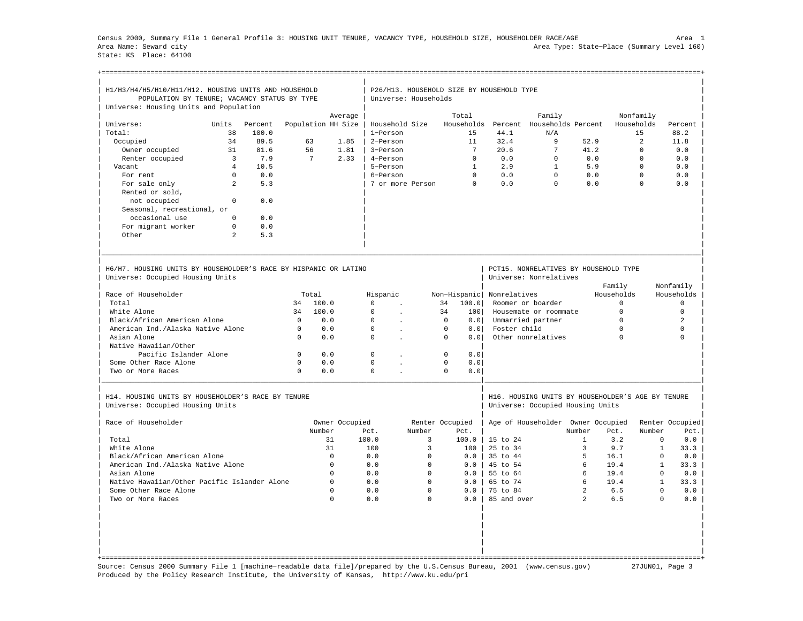Census 2000, Summary File 1 General Profile 3: HOUSING UNIT TENURE, VACANCY TYPE, HOUSEHOLD SIZE, HOUSEHOLDER RACE/AGE Area 1 Area Name: Seward city Area Type: State−Place (Summary Level 160) State: KS Place: 64100

+===================================================================================================================================================+

| H1/H3/H4/H5/H10/H11/H12. HOUSING UNITS AND HOUSEHOLD<br>POPULATION BY TENURE; VACANCY STATUS BY TYPE<br>Universe: Housing Units and Population |                |         |              |                    |                |             | P26/H13. HOUSEHOLD SIZE BY HOUSEHOLD TYPE<br>Universe: Households |                 |                 |                     |                                                                                       |                |             |                |              |                       |
|------------------------------------------------------------------------------------------------------------------------------------------------|----------------|---------|--------------|--------------------|----------------|-------------|-------------------------------------------------------------------|-----------------|-----------------|---------------------|---------------------------------------------------------------------------------------|----------------|-------------|----------------|--------------|-----------------------|
|                                                                                                                                                |                |         |              |                    | Average        |             |                                                                   |                 | Total           |                     | Family                                                                                |                |             | Nonfamily      |              |                       |
| Universe:                                                                                                                                      | Units          | Percent |              | Population HH Size |                |             | Household Size                                                    |                 |                 | Households Percent  | Households Percent                                                                    |                |             | Households     |              | Percent               |
| Total:                                                                                                                                         | 38             | 100.0   |              |                    |                | 1-Person    |                                                                   |                 | 1.5             | 44.1                | N/A                                                                                   |                |             | 15             |              | 88.2                  |
|                                                                                                                                                |                |         |              |                    |                |             |                                                                   |                 |                 |                     |                                                                                       |                |             | $\mathfrak{D}$ |              |                       |
| Occupied                                                                                                                                       | 34             | 89.5    |              | 63                 | 1.85           | 2-Person    |                                                                   |                 | 11              | 32.4                | 9                                                                                     | 52.9           |             |                |              | 11.8                  |
| Owner occupied                                                                                                                                 | 31             | 81.6    |              | 56                 | 1.81           | 3-Person    |                                                                   |                 | $7\phantom{.0}$ | 20.6                | 7                                                                                     | 41.2           |             | $\Omega$       |              | 0.0                   |
| Renter occupied                                                                                                                                | $\overline{3}$ | 7.9     |              | 7                  | 2.33           | 4-Person    |                                                                   |                 | $\Omega$        | 0.0                 | $\Omega$                                                                              | 0.0            |             | $\Omega$       |              | 0.0                   |
| Vacant                                                                                                                                         | $\overline{4}$ | 10.5    |              |                    |                | 5-Person    |                                                                   |                 | $\mathbf{1}$    | 2.9                 | $\mathbf{1}$                                                                          | 5.9            |             | $\Omega$       |              | 0.0                   |
| For rent                                                                                                                                       | $\circ$        | 0.0     |              |                    |                | 6-Person    |                                                                   |                 | $\Omega$        | 0.0                 | $\mathbf 0$                                                                           | 0.0            |             | $\mathbf 0$    |              | 0.0                   |
| For sale only                                                                                                                                  | $\mathfrak{D}$ | 5.3     |              |                    |                |             | 7 or more Person                                                  |                 | $\cap$          | 0.0                 | $\Omega$                                                                              | 0.0            |             | $\Omega$       |              | 0.0                   |
| Rented or sold,                                                                                                                                |                |         |              |                    |                |             |                                                                   |                 |                 |                     |                                                                                       |                |             |                |              |                       |
| not occupied                                                                                                                                   | $\Omega$       | 0.0     |              |                    |                |             |                                                                   |                 |                 |                     |                                                                                       |                |             |                |              |                       |
| Seasonal, recreational, or                                                                                                                     |                |         |              |                    |                |             |                                                                   |                 |                 |                     |                                                                                       |                |             |                |              |                       |
| occasional use                                                                                                                                 | $\Omega$       | 0.0     |              |                    |                |             |                                                                   |                 |                 |                     |                                                                                       |                |             |                |              |                       |
| For migrant worker                                                                                                                             | $\Omega$       | 0.0     |              |                    |                |             |                                                                   |                 |                 |                     |                                                                                       |                |             |                |              |                       |
| Other                                                                                                                                          | $\mathfrak{D}$ | 5.3     |              |                    |                |             |                                                                   |                 |                 |                     |                                                                                       |                |             |                |              |                       |
| H6/H7. HOUSING UNITS BY HOUSEHOLDER'S RACE BY HISPANIC OR LATINO<br>Universe: Occupied Housing Units                                           |                |         |              |                    |                |             |                                                                   |                 |                 |                     | PCT15. NONRELATIVES BY HOUSEHOLD TYPE<br>Universe: Nonrelatives                       |                | Family      |                | Nonfamily    |                       |
| Race of Householder                                                                                                                            |                |         |              | Total              |                | Hispanic    |                                                                   | Non-Hispanic    |                 | Nonrelatives        |                                                                                       |                | Households  |                |              | Households            |
| Total                                                                                                                                          |                |         | 34           | 100.0              |                | $\Omega$    | $\cdot$                                                           | 34              | 100.0           |                     | Roomer or boarder                                                                     |                | $\Omega$    |                |              | $\Omega$              |
| White Alone                                                                                                                                    |                |         | 34           | 100.0              |                | $\Omega$    |                                                                   | 34              | 1001            |                     | Housemate or roommate                                                                 |                | $\Omega$    |                |              | $\Omega$              |
| Black/African American Alone                                                                                                                   |                |         | $\Omega$     | 0.0                |                | $\mathbf 0$ | $\overline{a}$                                                    | $\mathbf 0$     | 0.0             |                     | Unmarried partner                                                                     |                | $\mathbf 0$ |                |              | 2                     |
| American Ind./Alaska Native Alone                                                                                                              |                |         | $\Omega$     | 0.0                |                | $\Omega$    |                                                                   | $\Omega$        | 0.0             | Foster child        |                                                                                       |                | $\Omega$    |                |              | $\Omega$              |
| Asian Alone                                                                                                                                    |                |         | $\Omega$     | 0.0                |                | $\Omega$    |                                                                   | $\Omega$        | 0.0             |                     | Other nonrelatives                                                                    |                | $\Omega$    |                |              | $\cap$                |
| Native Hawaiian/Other                                                                                                                          |                |         |              |                    |                |             |                                                                   |                 |                 |                     |                                                                                       |                |             |                |              |                       |
| Pacific Islander Alone                                                                                                                         |                |         | $\mathbf{0}$ | 0.0                |                | $\mathbf 0$ |                                                                   | $\mathbf 0$     | 0.0             |                     |                                                                                       |                |             |                |              |                       |
| Some Other Race Alone                                                                                                                          |                |         | $\Omega$     | 0.0                |                | $\Omega$    | $\mathbf{r}$                                                      | $\Omega$        | 0.0             |                     |                                                                                       |                |             |                |              |                       |
| Two or More Races                                                                                                                              |                |         | $\Omega$     | 0.0                |                | $\Omega$    |                                                                   | $\Omega$        | 0.0             |                     |                                                                                       |                |             |                |              |                       |
| H14. HOUSING UNITS BY HOUSEHOLDER'S RACE BY TENURE<br>Universe: Occupied Housing Units                                                         |                |         |              |                    |                |             |                                                                   |                 |                 |                     | H16. HOUSING UNITS BY HOUSEHOLDER'S AGE BY TENURE<br>Universe: Occupied Housing Units |                |             |                |              |                       |
| Race of Householder                                                                                                                            |                |         |              |                    | Owner Occupied |             |                                                                   | Renter Occupied |                 |                     | Age of Householder Owner Occupied                                                     |                |             |                |              | Renter Occupied       |
|                                                                                                                                                |                |         |              | Number             |                | Pct.        | Number                                                            |                 | Pct.            |                     |                                                                                       | Number         | Pct.        | Number         |              | Pct.                  |
| Total                                                                                                                                          |                |         |              | 31                 |                | 100.0       | 3                                                                 |                 | 100.0           | 15 to 24            |                                                                                       | $\mathbf{1}$   | 3.2         |                | 0            | 0.0                   |
| White Alone                                                                                                                                    |                |         |              | 31                 |                | 100         | 3                                                                 |                 | 100             | $25 \text{ to } 34$ |                                                                                       | 3              | 9.7         |                | $\mathbf{1}$ | 33.3                  |
| Black/African American Alone                                                                                                                   |                |         |              | $\mathbf 0$        |                | 0.0         | $\mathbf 0$                                                       |                 | 0.0             | 35 to 44            |                                                                                       | 5              | 16.1        |                | $\mathbf 0$  | ${\bf 0}$ . ${\bf 0}$ |
| American Ind./Alaska Native Alone                                                                                                              |                |         |              | $\Omega$           |                | 0.0         | $\mathbf 0$                                                       |                 | 0.0             | 45 to 54            |                                                                                       | 6              | 19.4        |                | $\mathbf{1}$ | 33.3                  |
| Asian Alone                                                                                                                                    |                |         |              | $\mathbf 0$        |                | 0.0         | $\mathbf 0$                                                       |                 | 0.0             | 55 to 64            |                                                                                       | 6              | 19.4        |                | $\mathbf{0}$ | 0.0                   |
| Native Hawaiian/Other Pacific Islander Alone                                                                                                   |                |         |              | $\Omega$           |                | 0.0         | $\Omega$                                                          |                 | 0.0             | 65 to 74            |                                                                                       | 6              | 19.4        |                | $\mathbf{1}$ | 33.3                  |
| Some Other Race Alone                                                                                                                          |                |         |              | $\mathbf 0$        |                | 0.0         | $\mathbf 0$                                                       |                 | 0.0             | 75 to 84            |                                                                                       | $\overline{a}$ | 6.5         |                | $\Omega$     | 0.0                   |
| Two or More Races                                                                                                                              |                |         |              | $\Omega$           |                | 0.0         | $\Omega$                                                          |                 | 0.0             | 85 and over         |                                                                                       | $\overline{2}$ | 6.5         |                | $\Omega$     | 0.0                   |
|                                                                                                                                                |                |         |              |                    |                |             |                                                                   |                 |                 |                     |                                                                                       |                |             |                |              |                       |

Source: Census 2000 Summary File 1 [machine−readable data file]/prepared by the U.S.Census Bureau, 2001 (www.census.gov) 27JUN01, Page 3 Produced by the Policy Research Institute, the University of Kansas, http://www.ku.edu/pri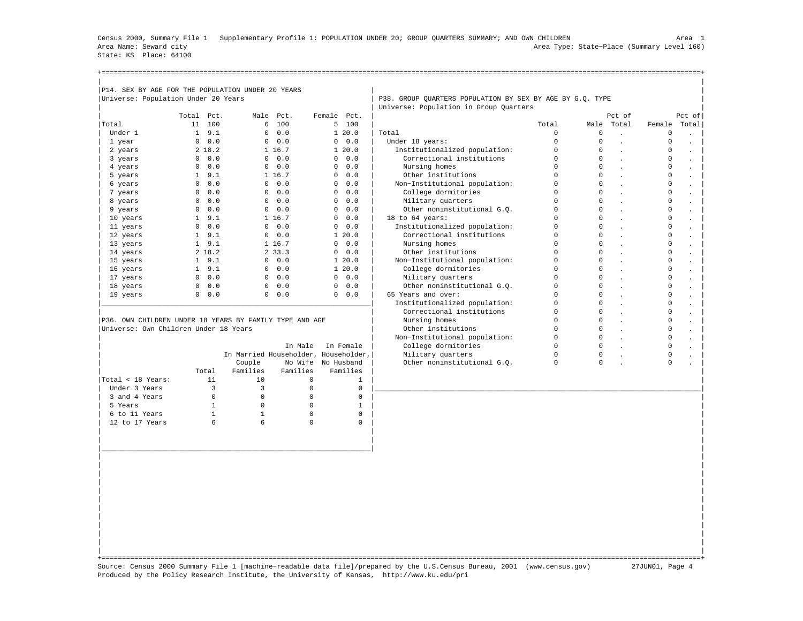Census 2000, Summary File 1 Supplementary Profile 1: POPULATION UNDER 20; GROUP QUARTERS SUMMARY; AND OWN CHILDREN Area 1 Area Name: Seward city Area Type: State−Place (Summary Level 160) State: KS Place: 64100

+===================================================================================================================================================+

| Universe: Population Under 20 Years                     |               |                |                       |                                      | P38. GROUP OUARTERS POPULATION BY SEX BY AGE BY G.O. TYPE |             |             |                      |             |                      |
|---------------------------------------------------------|---------------|----------------|-----------------------|--------------------------------------|-----------------------------------------------------------|-------------|-------------|----------------------|-------------|----------------------|
|                                                         |               |                |                       |                                      | Universe: Population in Group Quarters                    |             |             |                      |             |                      |
|                                                         | Total Pct.    |                | Male Pct.             | Female Pct.                          |                                                           |             |             | Pct of               |             | Pct of               |
| Total                                                   | 11 100        |                | 6 100                 | 5 100                                |                                                           | Total       |             | Male Total           | Female      | Total                |
| Under 1                                                 | $1 \quad 9.1$ |                | 0.0<br>$\mathbf{0}$   | 1, 20.0                              | Total                                                     | $\Omega$    | $\Omega$    | $\mathbf{r}$         | $\Omega$    | in 1919.             |
| 1 year                                                  | $0 \t 0.0$    |                | 0.0                   | $0 \t 0.0$                           | Under 18 years:                                           | $\Omega$    | $\Omega$    |                      | $\mathbf 0$ |                      |
| 2 years                                                 | 218.2         |                | 1 16.7                | 1, 20, 0                             | Institutionalized population:                             | $\mathbf 0$ | $\Omega$    | $\sim$               | $\circ$     |                      |
| 3 years                                                 | $0 \t 0.0$    |                | $0 \t 0.0$            | $\circ$<br>0.0                       | Correctional institutions                                 | $\mathbf 0$ | $\Omega$    |                      | $\circ$     | $\ddot{\phantom{a}}$ |
| 4 years                                                 | $0 \t 0.0$    |                | 0.0                   | $0 \t 0.0$                           | Nursing homes                                             | $\Omega$    | $\Omega$    | $\mathbf{r}$         | $\Omega$    |                      |
| 5 years                                                 | $1 \quad 9.1$ |                | 1 16.7                | 0.0.0                                | Other institutions                                        | $\mathbf 0$ | $\Omega$    |                      | $^{\circ}$  |                      |
| 6 years                                                 | $0 \t 0.0$    |                | 0.0<br>$\overline{0}$ | $0 \t 0.0$                           | Non-Institutional population:                             | $\Omega$    | $\Omega$    | $\ddot{\phantom{a}}$ | $\circ$     | $\blacksquare$       |
| 7 years                                                 | 0.0           |                | 0.0                   | $0 \t 0.0$                           | College dormitories                                       | $\Omega$    | $\Omega$    |                      | $\circ$     |                      |
| 8 years                                                 | $0 \t 0.0$    |                | 0.0                   | $0 \t 0.0$                           | Military quarters                                         | $\mathbf 0$ | $\Omega$    | $\mathbf{r}$         | $\mathbf 0$ | $\mathbf{r}$         |
| 9 years                                                 | $0 \t 0.0$    |                | 0.0                   | $0 \t 0.0$                           | Other noninstitutional G.O.                               | $\Omega$    | $\Omega$    |                      | $\Omega$    |                      |
| 10 years                                                | $1 \quad 9.1$ |                | 1 16.7                | $0 \t 0.0$                           | 18 to 64 years:                                           | $\mathbf 0$ | $\circ$     |                      | $\mathsf 0$ |                      |
| 11 years                                                | $0 \t 0.0$    |                | 0.0.0                 | $0 \t 0.0$                           | Institutionalized population:                             | $\Omega$    | $\Omega$    | $\sim$               | $\mathbf 0$ | $\ddot{\phantom{a}}$ |
| 12 years                                                | $1 \quad 9.1$ |                | $0 \t 0.0$            | 1, 20, 0                             | Correctional institutions                                 | $\mathbf 0$ | $\Omega$    | $\mathbf{r}$         | $\mathbf 0$ | $\sim$               |
| 13 years                                                | $1 \quad 9.1$ |                | 1 16.7                | $0 \t 0.0$                           | Nursing homes                                             | $\mathbf 0$ | $\Omega$    |                      | $\mathsf 0$ |                      |
| 14 years                                                | 2 18.2        |                | 2 33.3                | $0 \t 0.0$                           | Other institutions                                        | $\Omega$    | $\Omega$    | $\cdot$              | $\Omega$    | $\bullet$            |
| 15 years                                                | $1 \quad 9.1$ |                | 0.0.0                 | 1, 20.0                              | Non-Institutional population:                             | $\Omega$    | $\Omega$    |                      | $\circ$     |                      |
| 16 years                                                | $1 \quad 9.1$ |                | 0.0                   | 1, 20, 0                             | College dormitories                                       | $\Omega$    | $\Omega$    | $\mathbf{r}$         | $\Omega$    | $\blacksquare$       |
| 17 years                                                | $0 \t 0.0$    |                | 0.0                   | $0 \t 0.0$                           | Military quarters                                         | $\Omega$    | $\Omega$    |                      | $\Omega$    |                      |
| 18 years                                                | $0 \t 0.0$    |                | 0.0                   | $0 \t 0.0$                           | Other noninstitutional G.O.                               | $\mathbf 0$ | $\Omega$    |                      | $\mathsf 0$ |                      |
| 19 years                                                | 0.0           |                | 0.0.0                 | $0 \t 0.0$                           | 65 Years and over:                                        | $\Omega$    | $\Omega$    |                      | $\mathbf 0$ |                      |
|                                                         |               |                |                       |                                      | Institutionalized population:                             | $\Omega$    | $\Omega$    | $\cdot$              | $\Omega$    |                      |
|                                                         |               |                |                       |                                      | Correctional institutions                                 | $\mathbf 0$ | $\Omega$    |                      | $\circ$     |                      |
| P36. OWN CHILDREN UNDER 18 YEARS BY FAMILY TYPE AND AGE |               |                |                       |                                      | Nursing homes                                             | $\Omega$    | $\Omega$    | $\sim$               | $\circ$     | $\Box$               |
| Universe: Own Children Under 18 Years                   |               |                |                       |                                      | Other institutions                                        | $\Omega$    | $\Omega$    |                      | $\mathbf 0$ |                      |
|                                                         |               |                |                       |                                      | Non-Institutional population:                             | $\circ$     | $\Omega$    | $\mathbf{r}$         | $\mathbf 0$ | $\blacksquare$       |
|                                                         |               |                | In Male               | In Female                            | College dormitories                                       | $\Omega$    | $\Omega$    |                      | $\Omega$    |                      |
|                                                         |               |                |                       | In Married Householder, Householder, | Military quarters                                         | $\mathbf 0$ | $\mathbf 0$ |                      | $\mathsf 0$ |                      |
|                                                         |               | Couple         |                       | No Wife No Husband                   | Other noninstitutional G.Q.                               | $\Omega$    | $\Omega$    |                      | $\Omega$    |                      |
|                                                         | Total         | Families       | Families              | Families                             |                                                           |             |             |                      |             |                      |
| Total < 18 Years:                                       | 11            | 10             | $\mathbf{0}$          | $\mathbf{1}$                         |                                                           |             |             |                      |             |                      |
| Under 3 Years                                           | 3             | $\overline{3}$ | $\Omega$              | $\mathbf{0}$                         |                                                           |             |             |                      |             |                      |
| 3 and 4 Years                                           | $\mathbf{0}$  | $\mathbf{0}$   | $\mathbf{0}$          | $\mathbf 0$                          |                                                           |             |             |                      |             |                      |
| 5 Years                                                 | $\mathbf{1}$  | $\mathbf 0$    | $\mathbf{0}$          | $\mathbf{1}$                         |                                                           |             |             |                      |             |                      |
| 6 to 11 Years                                           | $\mathbf{1}$  | $\mathbf{1}$   | $\Omega$              | $\mathbf 0$                          |                                                           |             |             |                      |             |                      |
| 12 to 17 Years                                          | 6             | 6              | $\Omega$              | $\mathbf 0$                          |                                                           |             |             |                      |             |                      |
|                                                         |               |                |                       |                                      |                                                           |             |             |                      |             |                      |
|                                                         |               |                |                       |                                      |                                                           |             |             |                      |             |                      |
|                                                         |               |                |                       |                                      |                                                           |             |             |                      |             |                      |

| | +===================================================================================================================================================+ Source: Census 2000 Summary File 1 [machine−readable data file]/prepared by the U.S.Census Bureau, 2001 (www.census.gov) 27JUN01, Page 4 Produced by the Policy Research Institute, the University of Kansas, http://www.ku.edu/pri

| | | | | | | | | | | | | | | | | |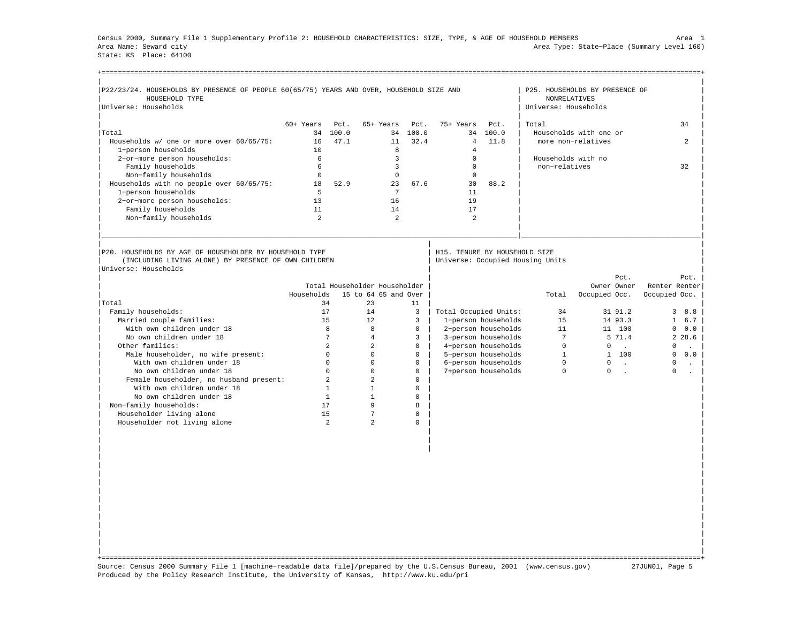Census 2000, Summary File 1 Supplementary Profile 2: HOUSEHOLD CHARACTERISTICS: SIZE, TYPE, & AGE OF HOUSEHOLD MEMBERS Area 1 Area Name: Seward city Area Type: State−Place (Summary Level 160) State: KS Place: 64100

| P22/23/24. HOUSEHOLDS BY PRESENCE OF PEOPLE 60(65/75) YEARS AND OVER, HOUSEHOLD SIZE AND |                |                |                               |                |                               |                     |                                  | P25. HOUSEHOLDS BY PRESENCE OF |                         |
|------------------------------------------------------------------------------------------|----------------|----------------|-------------------------------|----------------|-------------------------------|---------------------|----------------------------------|--------------------------------|-------------------------|
| HOUSEHOLD TYPE                                                                           |                |                |                               |                |                               |                     | <b>NONRELATIVES</b>              |                                |                         |
| Universe: Households                                                                     |                |                |                               |                |                               |                     | Universe: Households             |                                |                         |
|                                                                                          |                |                |                               |                |                               |                     |                                  |                                |                         |
|                                                                                          | 60+ Years      | Pct.           | 65+ Years                     | Pct.           | 75+ Years                     | Pct.                | Total                            |                                | 34                      |
| Total                                                                                    | 34             | 100.0          |                               | 34 100.0       | 34                            | 100.0               |                                  | Households with one or         |                         |
| Households w/ one or more over 60/65/75:                                                 | 16             | 47.1           | 11                            | 32.4           | $\overline{4}$                | 11.8                |                                  | more non-relatives             | $\mathfrak{D}$          |
| 1-person households                                                                      | 10             |                | 8                             |                | $\overline{4}$                |                     |                                  |                                |                         |
| 2-or-more person households:                                                             | 6              |                | $\overline{3}$                |                | $\mathbf{0}$                  |                     | Households with no               |                                |                         |
| Family households                                                                        | 6              |                | $\overline{3}$                |                | $\mathbf{0}$                  |                     | non-relatives                    |                                | 32                      |
| Non-family households                                                                    | $\mathbf{0}$   |                | $\mathbf 0$                   |                | $\mathbf{0}$                  |                     |                                  |                                |                         |
| Households with no people over 60/65/75:                                                 | 18             | 52.9           | 23                            | 67.6           | 30                            | 88.2                |                                  |                                |                         |
| 1-person households                                                                      | $5^{\circ}$    |                | $7\phantom{.0}$               |                | 11                            |                     |                                  |                                |                         |
| 2-or-more person households:                                                             | 13             |                | 16                            |                | 19                            |                     |                                  |                                |                         |
| Family households                                                                        | 11             |                | 14                            |                | 17                            |                     |                                  |                                |                         |
| Non-family households                                                                    | $\mathfrak{D}$ |                | $\overline{a}$                |                | $\mathfrak{D}$                |                     |                                  |                                |                         |
|                                                                                          |                |                |                               |                |                               |                     |                                  |                                |                         |
|                                                                                          |                |                |                               |                |                               |                     |                                  |                                |                         |
|                                                                                          |                |                |                               |                |                               |                     |                                  |                                |                         |
| P20. HOUSEHOLDS BY AGE OF HOUSEHOLDER BY HOUSEHOLD TYPE                                  |                |                |                               |                | H15. TENURE BY HOUSEHOLD SIZE |                     |                                  |                                |                         |
| (INCLUDING LIVING ALONE) BY PRESENCE OF OWN CHILDREN                                     |                |                |                               |                |                               |                     | Universe: Occupied Housing Units |                                |                         |
| Universe: Households                                                                     |                |                |                               |                |                               |                     |                                  |                                |                         |
|                                                                                          |                |                |                               |                |                               |                     |                                  | Pct.                           | Pct.                    |
|                                                                                          |                |                | Total Householder Householder |                |                               |                     |                                  | Owner Owner                    | Renter Renter           |
|                                                                                          | Households     |                | 15 to 64 65 and Over          |                |                               |                     | Total                            | Occupied Occ.                  | Occupied Occ.           |
| Total                                                                                    |                | 34             | 23                            | 11             |                               |                     |                                  |                                |                         |
| Family households:                                                                       |                | 17             | 14                            | $\overline{3}$ | Total Occupied Units:         |                     | 34                               | 31 91.2                        | $\overline{3}$<br>8.8   |
| Married couple families:                                                                 |                | 15             | 12.                           | 3              |                               | 1-person households | 1.5                              | 14 93.3                        | $\mathbf{1}$<br>6.7     |
| With own children under 18                                                               |                | 8              | 8                             | $\Omega$       |                               | 2-person households | 11                               | 11 100                         | 0.0<br>$\mathbf 0$      |
| No own children under 18                                                                 |                | $\overline{7}$ | $\overline{4}$                | $\overline{3}$ |                               | 3-person households | $7\overline{ }$                  | 5 71.4                         | 2, 28.6                 |
| Other families:                                                                          |                | $\mathfrak{D}$ | $\mathfrak{D}$                | $\Omega$       |                               | 4-person households | $\Omega$                         | $\circ$<br>$\sim$              | $\mathbf 0$<br>$\sim$   |
| Male householder, no wife present:                                                       |                | $\Omega$       | $\Omega$                      | $\Omega$       |                               | 5-person households | $\mathbf{1}$                     | 1 100                          | $\Omega$<br>0.0         |
| With own children under 18                                                               |                | $\mathbf{0}$   | $\Omega$                      | $\mathbf 0$    |                               | 6-person households | $\Omega$                         | $\mathbf{0}$<br>$\sim 10$      | $\circ$<br>$\mathbf{L}$ |
| No own children under 18                                                                 |                | $\Omega$       | $\Omega$                      | $\Omega$       |                               | 7+person households | $\Omega$                         | $\Omega$<br>$\sim$             | $\Omega$                |
| Female householder, no husband present:                                                  |                | $\overline{a}$ | $\overline{a}$                | $\Omega$       |                               |                     |                                  |                                |                         |
| With own children under 18                                                               |                | $\mathbf{1}$   | $\mathbf{1}$                  | $\Omega$       |                               |                     |                                  |                                |                         |
| No own children under 18                                                                 |                | $\mathbf{1}$   | $\mathbf{1}$                  | $\mathbf 0$    |                               |                     |                                  |                                |                         |
| Non-family households:                                                                   |                | 17             | 9                             | 8              |                               |                     |                                  |                                |                         |
| Householder living alone                                                                 |                | 15             | 7                             | 8              |                               |                     |                                  |                                |                         |
| Householder not living alone                                                             |                | $\mathfrak{D}$ | $\overline{2}$                | $\Omega$       |                               |                     |                                  |                                |                         |
|                                                                                          |                |                |                               |                |                               |                     |                                  |                                |                         |
|                                                                                          |                |                |                               |                |                               |                     |                                  |                                |                         |
|                                                                                          |                |                |                               |                |                               |                     |                                  |                                |                         |
|                                                                                          |                |                |                               |                |                               |                     |                                  |                                |                         |
|                                                                                          |                |                |                               |                |                               |                     |                                  |                                |                         |
|                                                                                          |                |                |                               |                |                               |                     |                                  |                                |                         |

| | +===================================================================================================================================================+ Source: Census 2000 Summary File 1 [machine−readable data file]/prepared by the U.S.Census Bureau, 2001 (www.census.gov) 27JUN01, Page 5 Produced by the Policy Research Institute, the University of Kansas, http://www.ku.edu/pri

| | | | | | | | | | | | | | | |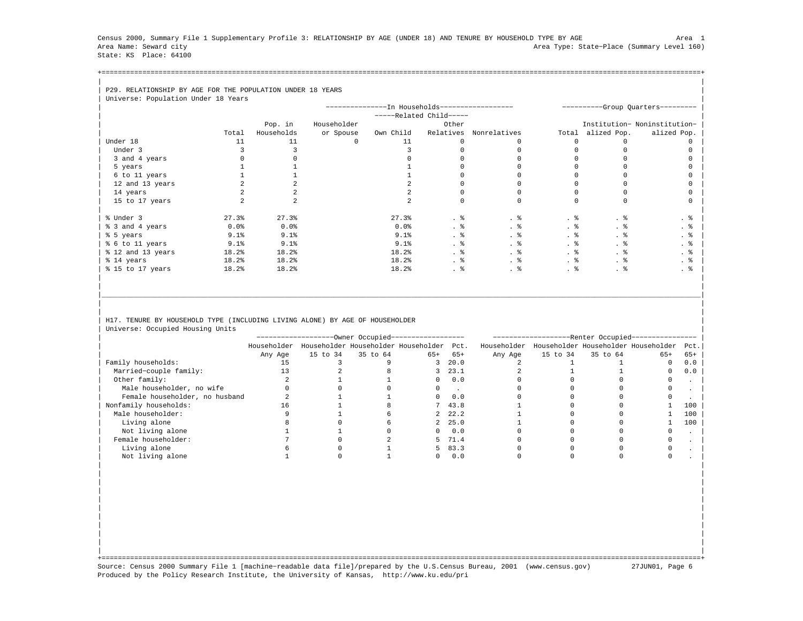Census 2000, Summary File 1 Supplementary Profile 3: RELATIONSHIP BY AGE (UNDER 18) AND TENURE BY HOUSEHOLD TYPE BY AGE Area 1 Area Name: Seward city Area Type: State−Place (Summary Level 160) State: KS Place: 64100

+===================================================================================================================================================+| |

| P29. RELATIONSHIP BY AGE FOR THE POPULATION UNDER 18 YEARS |       |            |             |                                                |                         |                        |       |             |                                   |
|------------------------------------------------------------|-------|------------|-------------|------------------------------------------------|-------------------------|------------------------|-------|-------------|-----------------------------------|
| Universe: Population Under 18 Years                        |       |            |             |                                                |                         |                        |       |             |                                   |
|                                                            |       |            |             | ---------------In Households------------------ |                         |                        |       |             | ----------Group Quarters--------- |
|                                                            |       |            |             |                                                | -----Related Child----- |                        |       |             |                                   |
|                                                            |       | Pop. in    | Householder |                                                | Other                   |                        |       |             | Institution- Noninstitution-      |
|                                                            | Total | Households | or Spouse   | Own Child                                      |                         | Relatives Nonrelatives | Total | alized Pop. | alized Pop.                       |
| Under 18                                                   | 11    |            | 0           | 11                                             |                         |                        |       |             |                                   |
| Under 3                                                    |       |            |             |                                                |                         |                        |       |             |                                   |
| 3 and 4 years                                              |       |            |             |                                                |                         |                        |       |             |                                   |
| 5 years                                                    |       |            |             |                                                |                         |                        |       |             |                                   |
| 6 to 11 years                                              |       |            |             |                                                |                         |                        |       |             |                                   |
| 12 and 13 years                                            |       |            |             |                                                |                         |                        |       |             |                                   |
| 14 years                                                   |       |            |             |                                                |                         |                        |       |             |                                   |
| 15 to 17 years                                             |       |            |             |                                                |                         |                        |       |             |                                   |
|                                                            |       |            |             |                                                |                         |                        |       |             |                                   |
| % Under 3                                                  | 27.3% | 27.3%      |             | 27.3%                                          | . 응                     | . 응                    | . 응   | . 응         | . 응                               |
| % 3 and 4 years                                            | 0.0%  | 0.0%       |             | 0.0%                                           | . 응                     | . 응                    | . 응   | . 응         | . ક                               |
| % 5 years                                                  | 9.1%  | 9.1%       |             | 9.1%                                           | . 응                     | . 응                    | . 응   | . 응         | . 응                               |
| % 6 to 11 years                                            | 9.1%  | 9.1%       |             | 9.1%                                           | . 응                     |                        | . 응   | . 응         | . 응                               |
| % 12 and 13 years                                          | 18.2% | 18.2%      |             | 18.2%                                          | . 응                     | . 응                    | . 응   | . 응         | . 응                               |
| % 14 years                                                 | 18.2% | 18.2%      |             | 18.2%                                          | . 응                     | . 응                    | . 응   | . 응         | $\cdot$ $\frac{6}{6}$             |
| % 15 to 17 years                                           | 18.2% | 18.2%      |             | 18.2%                                          | . 응                     | . 응                    | . 응   | . 응         | . 응                               |
|                                                            |       |            |             |                                                |                         |                        |       |             |                                   |

## H17. TENURE BY HOUSEHOLD TYPE (INCLUDING LIVING ALONE) BY AGE OF HOUSEHOLDER | Universe: Occupied Housing Units |

|                                |             |          | -Owner Occupied-----------------    |       |          | ----------------- |          | --Renter Occupied-- | ___________                         |       |
|--------------------------------|-------------|----------|-------------------------------------|-------|----------|-------------------|----------|---------------------|-------------------------------------|-------|
|                                | Householder |          | Householder Householder Householder |       | Pct.     | Householder       |          |                     | Householder Householder Householder | Pct.  |
|                                | Any Age     | 15 to 34 | 35 to 64                            | $65+$ | $65+$    | Any Age           | 15 to 34 | 35 to 64            | $65+$                               | $65+$ |
| Family households:             |             |          |                                     |       | 3, 20.0  |                   |          |                     |                                     | 0.0   |
| Married-couple family:         |             |          |                                     |       | 3, 23.1  |                   |          |                     |                                     | 0.0   |
| Other family:                  |             |          |                                     |       | 0.0      |                   |          |                     |                                     |       |
| Male householder, no wife      |             |          |                                     |       |          |                   |          |                     |                                     |       |
| Female householder, no husband |             |          |                                     |       | 0.0      |                   |          |                     |                                     |       |
| Nonfamily households:          |             |          |                                     |       | 743.8    |                   |          |                     |                                     | 100   |
| Male householder:              |             |          |                                     |       | 2, 22, 2 |                   |          |                     |                                     | 100   |
| Living alone                   |             |          |                                     |       | 2, 25.0  |                   |          |                     |                                     | 100   |
| Not living alone               |             |          |                                     |       | 0.0      |                   |          |                     |                                     |       |
| Female householder:            |             |          |                                     |       | 5 71.4   |                   |          |                     |                                     |       |
| Living alone                   |             |          |                                     |       | 5 83.3   |                   |          |                     |                                     |       |
| Not living alone               |             |          |                                     |       | 0.0      |                   |          |                     |                                     |       |
|                                |             |          |                                     |       |          |                   |          |                     |                                     |       |

| | | | | | | | | | | | | | | | | |

|\_\_\_\_\_\_\_\_\_\_\_\_\_\_\_\_\_\_\_\_\_\_\_\_\_\_\_\_\_\_\_\_\_\_\_\_\_\_\_\_\_\_\_\_\_\_\_\_\_\_\_\_\_\_\_\_\_\_\_\_\_\_\_\_\_\_\_\_\_\_\_\_\_\_\_\_\_\_\_\_\_\_\_\_\_\_\_\_\_\_\_\_\_\_\_\_\_\_\_\_\_\_\_\_\_\_\_\_\_\_\_\_\_\_\_\_\_\_\_\_\_\_\_\_\_\_\_\_\_\_\_\_\_\_\_\_\_\_\_\_\_\_\_\_\_\_\_| | | | |

| | +===================================================================================================================================================+ Source: Census 2000 Summary File 1 [machine−readable data file]/prepared by the U.S.Census Bureau, 2001 (www.census.gov) 27JUN01, Page 6 Produced by the Policy Research Institute, the University of Kansas, http://www.ku.edu/pri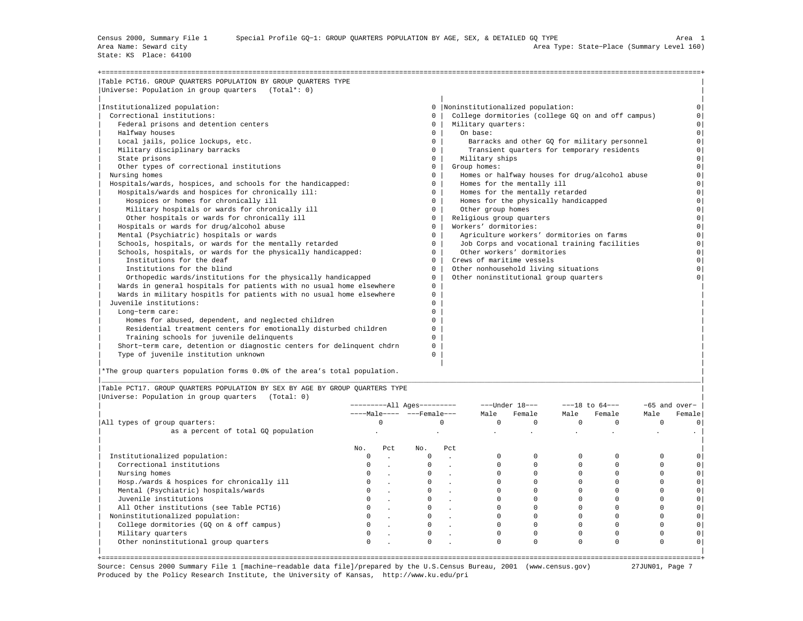State: KS Place: 64100

| Table PCT16. GROUP QUARTERS POPULATION BY GROUP QUARTERS TYPE         |              |                                                    |          |
|-----------------------------------------------------------------------|--------------|----------------------------------------------------|----------|
| Universe: Population in group quarters (Total*: 0)                    |              |                                                    |          |
| Institutionalized population:                                         |              | 0   Noninstitutionalized population:               |          |
| Correctional institutions:                                            | $\Omega$     | College dormitories (college GO on and off campus) |          |
| Federal prisons and detention centers                                 | $^{\circ}$   | Military quarters:                                 | $\circ$  |
| Halfway houses                                                        | $^{\circ}$   | On base:                                           | $\Omega$ |
| Local jails, police lockups, etc.                                     | $\Omega$     | Barracks and other GQ for military personnel       | $\Omega$ |
| Military disciplinary barracks                                        | $\Omega$     | Transient quarters for temporary residents         | $\Omega$ |
| State prisons                                                         | $\mathbf{0}$ | Military ships                                     | $\circ$  |
| Other types of correctional institutions                              | $\Omega$     | Group homes:                                       | $\Omega$ |
| Nursing homes                                                         | $\Omega$     | Homes or halfway houses for drug/alcohol abuse     | $\Omega$ |
| Hospitals/wards, hospices, and schools for the handicapped:           | $\circ$      | Homes for the mentally ill                         | $\Omega$ |
| Hospitals/wards and hospices for chronically ill:                     | 0            | Homes for the mentally retarded                    | $\Omega$ |
| Hospices or homes for chronically ill                                 | 0            | Homes for the physically handicapped               | $\circ$  |
| Military hospitals or wards for chronically ill                       | $\circ$      | Other group homes                                  | $\Omega$ |
| Other hospitals or wards for chronically ill                          | $^{\circ}$   | Religious group quarters                           | $\Omega$ |
| Hospitals or wards for drug/alcohol abuse                             | $\Omega$     | Workers' dormitories:                              | $\Omega$ |
| Mental (Psychiatric) hospitals or wards                               | $\Omega$     | Agriculture workers' dormitories on farms          | $\Omega$ |
| Schools, hospitals, or wards for the mentally retarded                | $\Omega$     | Job Corps and vocational training facilities       | $\Omega$ |
| Schools, hospitals, or wards for the physically handicapped:          | $\Omega$     | Other workers' dormitories                         | $\Omega$ |
| Institutions for the deaf                                             | $^{\circ}$   | Crews of maritime vessels                          | $\Omega$ |
| Institutions for the blind                                            | $\Omega$     | Other nonhousehold living situations               | $\Omega$ |
| Orthopedic wards/institutions for the physically handicapped          | $\Omega$     | Other noninstitutional group quarters              |          |
| Wards in general hospitals for patients with no usual home elsewhere  | $\mathbf{0}$ |                                                    |          |
| Wards in military hospitls for patients with no usual home elsewhere  | $\Omega$     |                                                    |          |
| Juvenile institutions:                                                | $\Omega$     |                                                    |          |
| Long-term care:                                                       | $\cap$       |                                                    |          |
| Homes for abused, dependent, and neglected children                   | $\Omega$     |                                                    |          |
| Residential treatment centers for emotionally disturbed children      | 0            |                                                    |          |
| Training schools for juvenile delinquents                             | $\Omega$     |                                                    |          |
| Short-term care, detention or diagnostic centers for delinquent chdrn | 0            |                                                    |          |
| Type of juvenile institution unknown                                  | $\Omega$     |                                                    |          |

|\*The group quarters population forms 0.0% of the area's total population. |

|Table PCT17. GROUP QUARTERS POPULATION BY SEX BY AGE BY GROUP QUARTERS TYPE | |Universe: Population in group quarters (Total: 0) |

|                                            | ---------All Ages--------- |     |                               |         |          | $---Under 18---$ | $---18$ to $64---$ |        |      | $-65$ and over- |
|--------------------------------------------|----------------------------|-----|-------------------------------|---------|----------|------------------|--------------------|--------|------|-----------------|
|                                            |                            |     | $---Male--- - -Frame = - = 0$ |         | Male     | Female           | Male               | Female | Male | Female          |
| All types of group quarters:               |                            |     |                               |         | $\Omega$ |                  |                    |        |      |                 |
| as a percent of total GQ population        |                            |     |                               |         |          |                  |                    |        |      |                 |
|                                            | No.                        | Pct | No.                           | Pct     |          |                  |                    |        |      |                 |
| Institutionalized population:              |                            |     |                               | $\sim$  |          |                  |                    |        |      |                 |
| Correctional institutions                  |                            |     |                               | $\cdot$ |          |                  |                    |        |      |                 |
| Nursing homes                              |                            |     |                               |         |          |                  |                    |        |      |                 |
| Hosp./wards & hospices for chronically ill |                            |     |                               |         |          |                  |                    |        |      |                 |
| Mental (Psychiatric) hospitals/wards       |                            |     |                               |         |          |                  |                    |        |      |                 |
| Juvenile institutions                      |                            |     |                               |         |          |                  |                    |        |      |                 |
| All Other institutions (see Table PCT16)   |                            |     |                               |         |          |                  |                    |        |      |                 |
| Noninstitutionalized population:           |                            |     |                               |         |          |                  |                    |        |      |                 |
| College dormitories (GQ on & off campus)   |                            |     |                               |         |          |                  |                    |        |      |                 |
| Military quarters                          |                            |     |                               |         |          |                  |                    |        |      |                 |
| Other noninstitutional group quarters      |                            |     |                               |         |          |                  |                    |        |      |                 |
|                                            |                            |     |                               |         |          |                  |                    |        |      |                 |

|\_\_\_\_\_\_\_\_\_\_\_\_\_\_\_\_\_\_\_\_\_\_\_\_\_\_\_\_\_\_\_\_\_\_\_\_\_\_\_\_\_\_\_\_\_\_\_\_\_\_\_\_\_\_\_\_\_\_\_\_\_\_\_\_\_\_\_\_\_\_\_\_\_\_\_\_\_\_\_\_\_\_\_\_\_\_\_\_\_\_\_\_\_\_\_\_\_\_\_\_\_\_\_\_\_\_\_\_\_\_\_\_\_\_\_\_\_\_\_\_\_\_\_\_\_\_\_\_\_\_\_\_\_\_\_\_\_\_\_\_\_\_\_\_\_\_\_|

Source: Census 2000 Summary File 1 [machine−readable data file]/prepared by the U.S.Census Bureau, 2001 (www.census.gov) 27JUN01, Page 7 Produced by the Policy Research Institute, the University of Kansas, http://www.ku.edu/pri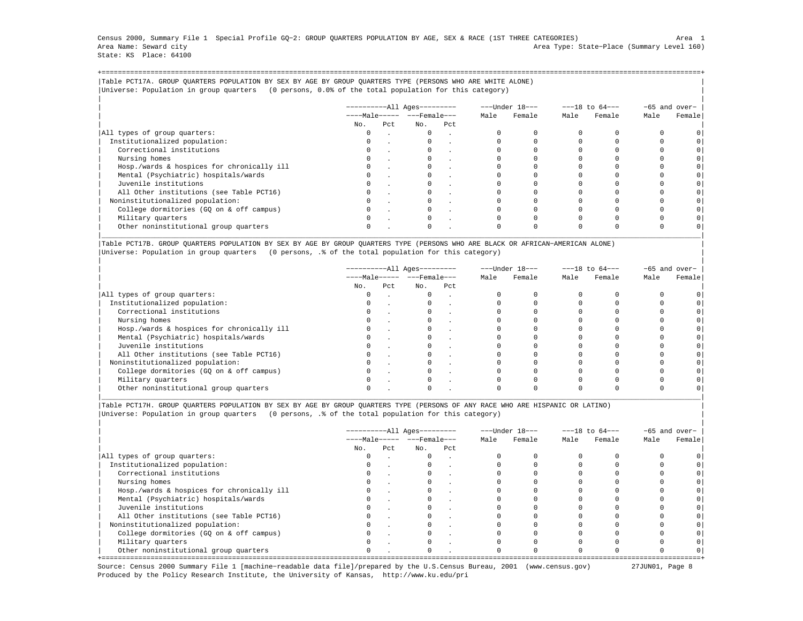Census 2000, Summary File 1 Special Profile GQ−2: GROUP QUARTERS POPULATION BY AGE, SEX & RACE (1ST THREE CATEGORIES) Area 1 Area Name: Seward city Area Type: State−Place (Summary Level 160) State: KS Place: 64100

+===================================================================================================================================================+|Table PCT17A. GROUP QUARTERS POPULATION BY SEX BY AGE BY GROUP QUARTERS TYPE (PERSONS WHO ARE WHITE ALONE) | |Universe: Population in group quarters (0 persons, 0.0% of the total population for this category) |

|                                            | $------All Aqes------$ |     |                         |     |      | ---Under 18--- |      | $---18$ to $64---$ |      | -65 and over- |
|--------------------------------------------|------------------------|-----|-------------------------|-----|------|----------------|------|--------------------|------|---------------|
|                                            |                        |     | $---Male--- - - Female$ |     | Male | Female         | Male | Female             | Male | Female        |
|                                            | No.                    | Pct | No.                     | Pct |      |                |      |                    |      |               |
| All types of group quarters:               |                        |     | $\mathbf{0}$            |     |      |                |      |                    |      |               |
| Institutionalized population:              |                        |     |                         |     |      |                |      |                    |      |               |
| Correctional institutions                  |                        |     |                         |     |      |                |      |                    |      | $\circ$       |
| Nursing homes                              |                        |     |                         |     |      |                |      |                    |      |               |
| Hosp./wards & hospices for chronically ill |                        |     |                         |     |      |                |      |                    |      | $\circ$       |
| Mental (Psychiatric) hospitals/wards       |                        |     |                         |     |      |                |      |                    |      | $\circ$       |
| Juvenile institutions                      |                        |     |                         |     |      |                |      |                    |      | $\circ$       |
| All Other institutions (see Table PCT16)   |                        |     |                         |     |      |                |      |                    |      |               |
| Noninstitutionalized population:           |                        |     |                         |     |      |                |      |                    |      | $\circ$       |
| College dormitories (GO on & off campus)   |                        |     |                         |     |      |                |      |                    |      | $\circ$       |
| Military quarters                          |                        |     | $\Omega$                |     |      |                |      |                    |      |               |
| Other noninstitutional group quarters      |                        |     |                         |     |      |                |      |                    |      |               |

|Table PCT17B. GROUP QUARTERS POPULATION BY SEX BY AGE BY GROUP QUARTERS TYPE (PERSONS WHO ARE BLACK OR AFRICAN−AMERICAN ALONE) | |Universe: Population in group quarters (0 persons, .% of the total population for this category) |

|                                            |          | -----------All Ages--------- |                              |     | ---Under 18--- |        | $---18$ to $64---$ |        | -65 and over- |        |
|--------------------------------------------|----------|------------------------------|------------------------------|-----|----------------|--------|--------------------|--------|---------------|--------|
|                                            |          |                              | $---Male--- - - - Female---$ |     | Male           | Female | Male               | Female | Male          | Female |
|                                            | No.      | Pct                          | No.                          | Pct |                |        |                    |        |               |        |
| All types of group quarters:               | $\Omega$ |                              | $\Omega$                     |     |                |        |                    |        |               |        |
| Institutionalized population:              |          |                              |                              |     |                |        |                    |        |               |        |
| Correctional institutions                  | $\circ$  |                              | $\mathbf{0}$                 |     |                |        |                    |        |               |        |
| Nursing homes                              |          |                              |                              |     |                |        |                    |        |               |        |
| Hosp./wards & hospices for chronically ill |          |                              |                              |     |                |        |                    |        |               |        |
| Mental (Psychiatric) hospitals/wards       | 0        |                              |                              |     |                |        |                    |        |               |        |
| Juvenile institutions                      |          |                              |                              |     |                |        |                    |        |               |        |
| All Other institutions (see Table PCT16)   |          |                              |                              |     |                |        |                    |        |               |        |
| Noninstitutionalized population:           | 0        |                              | 0                            |     |                |        |                    |        |               |        |
| College dormitories (GO on & off campus)   |          |                              |                              |     |                |        |                    |        |               |        |
| Military quarters                          |          |                              |                              |     |                |        |                    |        |               |        |
| Other noninstitutional group quarters      |          |                              |                              |     |                |        |                    |        |               |        |

|\_\_\_\_\_\_\_\_\_\_\_\_\_\_\_\_\_\_\_\_\_\_\_\_\_\_\_\_\_\_\_\_\_\_\_\_\_\_\_\_\_\_\_\_\_\_\_\_\_\_\_\_\_\_\_\_\_\_\_\_\_\_\_\_\_\_\_\_\_\_\_\_\_\_\_\_\_\_\_\_\_\_\_\_\_\_\_\_\_\_\_\_\_\_\_\_\_\_\_\_\_\_\_\_\_\_\_\_\_\_\_\_\_\_\_\_\_\_\_\_\_\_\_\_\_\_\_\_\_\_\_\_\_\_\_\_\_\_\_\_\_\_\_\_\_\_\_|

|Table PCT17H. GROUP QUARTERS POPULATION BY SEX BY AGE BY GROUP QUARTERS TYPE (PERSONS OF ANY RACE WHO ARE HISPANIC OR LATINO) | |Universe: Population in group quarters (0 persons, .% of the total population for this category) |

|                                            |          |      | ----------All Ages---------  |     |      | ---Under 18--- |      | $---18$ to $64---$ | -65 and over- |        |
|--------------------------------------------|----------|------|------------------------------|-----|------|----------------|------|--------------------|---------------|--------|
|                                            |          |      | $---Male--- - - - Female---$ |     | Male | Female         | Male | Female             | Male          | Female |
|                                            | No.      | Pct. | No.                          | Pct |      |                |      |                    |               |        |
| All types of group quarters:               | 0        |      | $\Omega$                     |     |      |                |      |                    |               |        |
| Institutionalized population:              | $\Omega$ |      |                              |     |      |                |      |                    |               |        |
| Correctional institutions                  |          |      |                              |     |      |                |      |                    |               |        |
| Nursing homes                              |          |      |                              |     |      |                |      |                    |               |        |
| Hosp./wards & hospices for chronically ill | $\Omega$ |      |                              |     |      |                |      |                    |               |        |
| Mental (Psychiatric) hospitals/wards       | 0        |      |                              |     |      |                |      |                    |               |        |
| Juvenile institutions                      |          |      |                              |     |      |                |      |                    |               |        |
| All Other institutions (see Table PCT16)   |          |      |                              |     |      |                |      |                    |               |        |
| Noninstitutionalized population:           | $\Omega$ |      |                              |     |      |                |      |                    |               |        |
| College dormitories (GQ on & off campus)   |          |      |                              |     |      |                |      |                    |               |        |
| Military quarters                          |          |      |                              |     |      |                |      |                    |               |        |
| Other noninstitutional group quarters      | $\Omega$ |      | $\Omega$                     |     |      |                |      |                    |               |        |

Source: Census 2000 Summary File 1 [machine−readable data file]/prepared by the U.S.Census Bureau, 2001 (www.census.gov) 27JUN01, Page 8 Produced by the Policy Research Institute, the University of Kansas, http://www.ku.edu/pri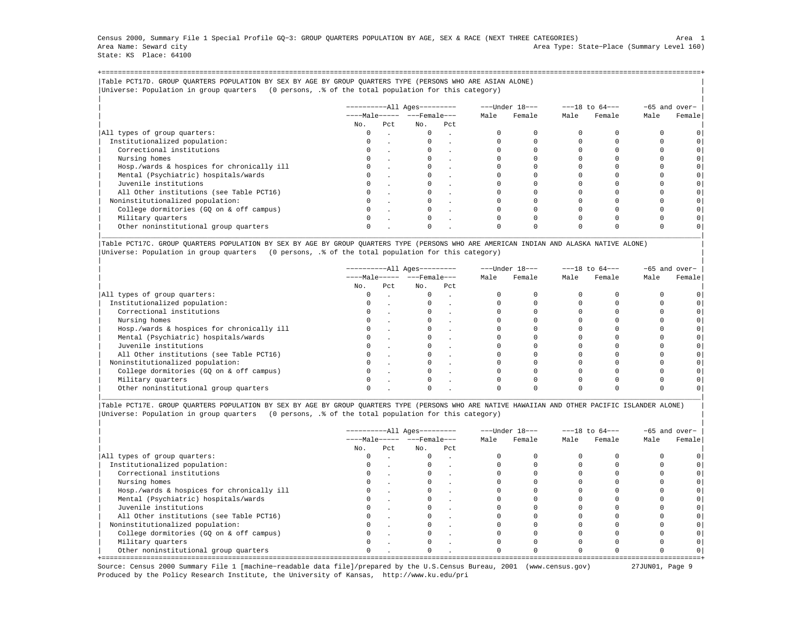Census 2000, Summary File 1 Special Profile GQ−3: GROUP QUARTERS POPULATION BY AGE, SEX & RACE (NEXT THREE CATEGORIES) Area 1 Area Name: Seward city Area Type: State−Place (Summary Level 160) State: KS Place: 64100

+===================================================================================================================================================+|Table PCT17D. GROUP QUARTERS POPULATION BY SEX BY AGE BY GROUP QUARTERS TYPE (PERSONS WHO ARE ASIAN ALONE) | |Universe: Population in group quarters (0 persons, .% of the total population for this category) |

|                                            |     |     | $------All Aqes------$  |     |      | ---Under 18--- |      | $---18$ to $64---$ |      | -65 and over- |
|--------------------------------------------|-----|-----|-------------------------|-----|------|----------------|------|--------------------|------|---------------|
|                                            |     |     | $---Male--- - - Female$ |     | Male | Female         | Male | Female             | Male | Female        |
|                                            | No. | Pct | No.                     | Pct |      |                |      |                    |      |               |
| All types of group quarters:               |     |     | $\mathbf{0}$            |     |      |                |      |                    |      |               |
| Institutionalized population:              |     |     |                         |     |      |                |      |                    |      |               |
| Correctional institutions                  |     |     |                         |     |      |                |      |                    |      | $\circ$       |
| Nursing homes                              |     |     |                         |     |      |                |      |                    |      |               |
| Hosp./wards & hospices for chronically ill |     |     |                         |     |      |                |      |                    |      | $\circ$       |
| Mental (Psychiatric) hospitals/wards       |     |     |                         |     |      |                |      |                    |      | $\circ$       |
| Juvenile institutions                      |     |     |                         |     |      |                |      |                    |      | $\circ$       |
| All Other institutions (see Table PCT16)   |     |     |                         |     |      |                |      |                    |      |               |
| Noninstitutionalized population:           |     |     |                         |     |      |                |      |                    |      | $\circ$       |
| College dormitories (GO on & off campus)   |     |     |                         |     |      |                |      |                    |      | $\circ$       |
| Military quarters                          |     |     | $\Omega$                |     |      |                |      |                    |      |               |
| Other noninstitutional group quarters      |     |     |                         |     |      |                |      |                    |      |               |

|Table PCT17C. GROUP QUARTERS POPULATION BY SEX BY AGE BY GROUP QUARTERS TYPE (PERSONS WHO ARE AMERICAN INDIAN AND ALASKA NATIVE ALONE) | |Universe: Population in group quarters (0 persons, .% of the total population for this category) |

|                                            |          |     | ----------All Ages---------    |        |      | ---Under 18--- |      | $---18$ to $64---$ |      | $-65$ and over- |
|--------------------------------------------|----------|-----|--------------------------------|--------|------|----------------|------|--------------------|------|-----------------|
|                                            |          |     | $---Male--- -  ---$ Female --- |        | Male | Female         | Male | Female             | Male | Female          |
|                                            | No.      | Pct | No.                            | Pct    |      |                |      |                    |      |                 |
| All types of group quarters:               | 0        |     | $\mathbf{0}$                   | $\sim$ |      |                |      |                    |      |                 |
| Institutionalized population:              | 0        |     |                                |        |      |                |      |                    |      |                 |
| Correctional institutions                  | $\Omega$ |     |                                |        |      |                |      |                    |      |                 |
| Nursing homes                              |          |     |                                |        |      |                |      |                    |      |                 |
| Hosp./wards & hospices for chronically ill |          |     |                                |        |      |                |      |                    |      |                 |
| Mental (Psychiatric) hospitals/wards       |          |     |                                |        |      |                |      |                    |      |                 |
| Juvenile institutions                      | $\Omega$ |     |                                |        |      |                |      |                    |      |                 |
| All Other institutions (see Table PCT16)   |          |     |                                |        |      |                |      |                    |      |                 |
| Noninstitutionalized population:           |          |     |                                |        |      |                |      |                    |      |                 |
| College dormitories (GQ on & off campus)   |          |     |                                |        |      |                |      |                    |      |                 |
| Military quarters                          | $\Omega$ |     |                                |        |      |                |      |                    |      |                 |
| Other noninstitutional group quarters      |          |     |                                |        |      |                |      |                    |      |                 |

|Table PCT17E. GROUP QUARTERS POPULATION BY SEX BY AGE BY GROUP QUARTERS TYPE (PERSONS WHO ARE NATIVE HAWAIIAN AND OTHER PACIFIC ISLANDER ALONE) | |Universe: Population in group quarters (0 persons, .% of the total population for this category) |

|                                            |          |     | $------All Aqes------$ |        |      | ---Under 18--- |      | $---18$ to $64---$ | -65 and over- |        |
|--------------------------------------------|----------|-----|------------------------|--------|------|----------------|------|--------------------|---------------|--------|
|                                            |          |     | $---Male--- - -Frame$  |        | Male | Female         | Male | Female             | Male          | Female |
|                                            | No.      | Pct | No.                    | Pct.   |      |                |      |                    |               |        |
| All types of group quarters:               | 0        |     | $\Omega$               |        |      |                |      |                    |               |        |
| Institutionalized population:              | $\Omega$ |     | $\Omega$               | $\sim$ |      |                |      |                    |               |        |
| Correctional institutions                  |          |     |                        |        |      |                |      |                    |               |        |
| Nursing homes                              |          |     |                        |        |      |                |      |                    |               |        |
| Hosp./wards & hospices for chronically ill |          |     | $\Omega$               |        |      |                |      |                    |               |        |
| Mental (Psychiatric) hospitals/wards       |          |     |                        |        |      |                |      |                    |               |        |
| Juvenile institutions                      |          |     |                        |        |      |                |      |                    |               |        |
| All Other institutions (see Table PCT16)   |          |     |                        |        |      |                |      |                    |               |        |
| Noninstitutionalized population:           |          |     | $\Omega$               |        |      |                |      |                    |               |        |
| College dormitories (GQ on & off campus)   |          |     |                        |        |      |                |      |                    |               |        |
| Military quarters                          |          |     |                        |        |      |                |      |                    |               |        |
| Other noninstitutional group quarters      |          |     | $\Omega$               |        |      |                |      |                    |               |        |

Source: Census 2000 Summary File 1 [machine−readable data file]/prepared by the U.S.Census Bureau, 2001 (www.census.gov) 27JUN01, Page 9 Produced by the Policy Research Institute, the University of Kansas, http://www.ku.edu/pri